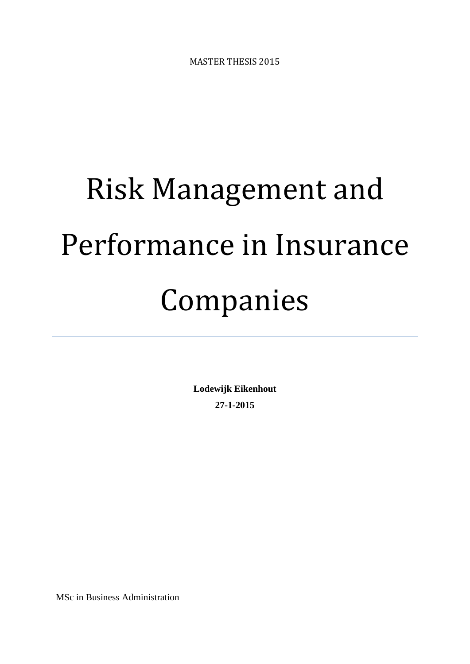MASTER THESIS 2015

# Risk Management and Performance in Insurance Companies

**Lodewijk Eikenhout 27-1-2015**

MSc in Business Administration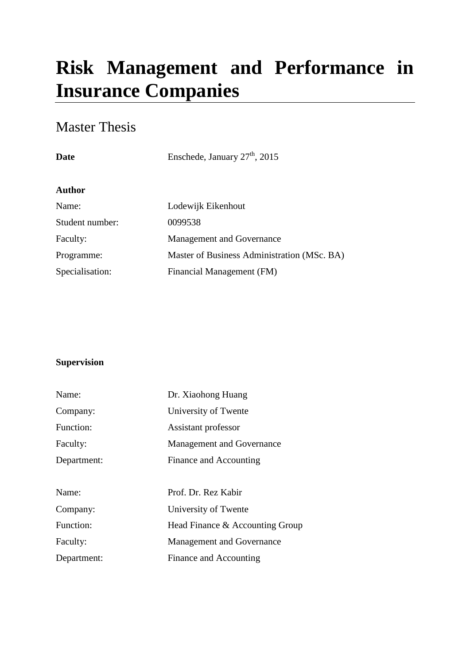# **Risk Management and Performance in Insurance Companies**

# Master Thesis

# **Date** Enschede, January  $27<sup>th</sup>$ , 2015

# **Author**

| Name:           | Lodewijk Eikenhout                          |
|-----------------|---------------------------------------------|
| Student number: | 0099538                                     |
| Faculty:        | Management and Governance                   |
| Programme:      | Master of Business Administration (MSc. BA) |
| Specialisation: | Financial Management (FM)                   |

# **Supervision**

| Name:       | Dr. Xiaohong Huang               |
|-------------|----------------------------------|
| Company:    | University of Twente             |
| Function:   | Assistant professor              |
| Faculty:    | <b>Management and Governance</b> |
| Department: | Finance and Accounting           |
|             |                                  |
| Name:       | Prof. Dr. Rez Kabir              |
| Company:    | University of Twente             |
| Function:   | Head Finance & Accounting Group  |
| Faculty:    | <b>Management and Governance</b> |
| Department: | Finance and Accounting           |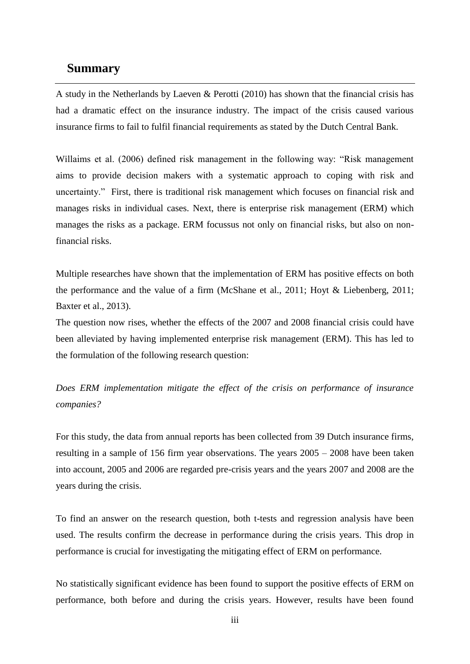# <span id="page-2-0"></span>**Summary**

A study in the Netherlands by Laeven & Perotti (2010) has shown that the financial crisis has had a dramatic effect on the insurance industry. The impact of the crisis caused various insurance firms to fail to fulfil financial requirements as stated by the Dutch Central Bank.

Willaims et al. (2006) defined risk management in the following way: "Risk management aims to provide decision makers with a systematic approach to coping with risk and uncertainty." First, there is traditional risk management which focuses on financial risk and manages risks in individual cases. Next, there is enterprise risk management (ERM) which manages the risks as a package. ERM focussus not only on financial risks, but also on nonfinancial risks.

Multiple researches have shown that the implementation of ERM has positive effects on both the performance and the value of a firm (McShane et al., 2011; Hoyt & Liebenberg, 2011; Baxter et al., 2013).

The question now rises, whether the effects of the 2007 and 2008 financial crisis could have been alleviated by having implemented enterprise risk management (ERM). This has led to the formulation of the following research question:

*Does ERM implementation mitigate the effect of the crisis on performance of insurance companies?*

For this study, the data from annual reports has been collected from 39 Dutch insurance firms, resulting in a sample of 156 firm year observations. The years 2005 – 2008 have been taken into account, 2005 and 2006 are regarded pre-crisis years and the years 2007 and 2008 are the years during the crisis.

To find an answer on the research question, both t-tests and regression analysis have been used. The results confirm the decrease in performance during the crisis years. This drop in performance is crucial for investigating the mitigating effect of ERM on performance.

No statistically significant evidence has been found to support the positive effects of ERM on performance, both before and during the crisis years. However, results have been found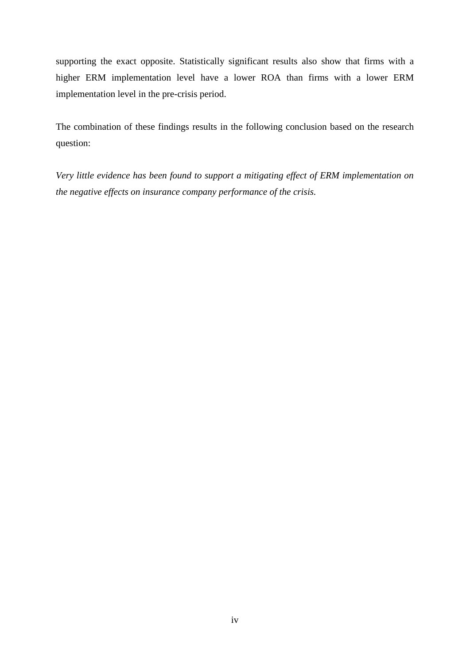supporting the exact opposite. Statistically significant results also show that firms with a higher ERM implementation level have a lower ROA than firms with a lower ERM implementation level in the pre-crisis period.

The combination of these findings results in the following conclusion based on the research question:

*Very little evidence has been found to support a mitigating effect of ERM implementation on the negative effects on insurance company performance of the crisis.*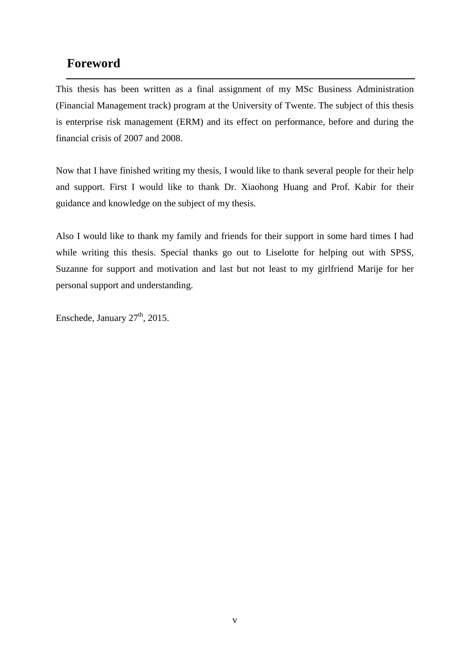# <span id="page-4-0"></span>**Foreword**

This thesis has been written as a final assignment of my MSc Business Administration (Financial Management track) program at the University of Twente. The subject of this thesis is enterprise risk management (ERM) and its effect on performance, before and during the financial crisis of 2007 and 2008.

Now that I have finished writing my thesis, I would like to thank several people for their help and support. First I would like to thank Dr. Xiaohong Huang and Prof. Kabir for their guidance and knowledge on the subject of my thesis.

Also I would like to thank my family and friends for their support in some hard times I had while writing this thesis. Special thanks go out to Liselotte for helping out with SPSS, Suzanne for support and motivation and last but not least to my girlfriend Marije for her personal support and understanding.

Enschede, January  $27<sup>th</sup>$ , 2015.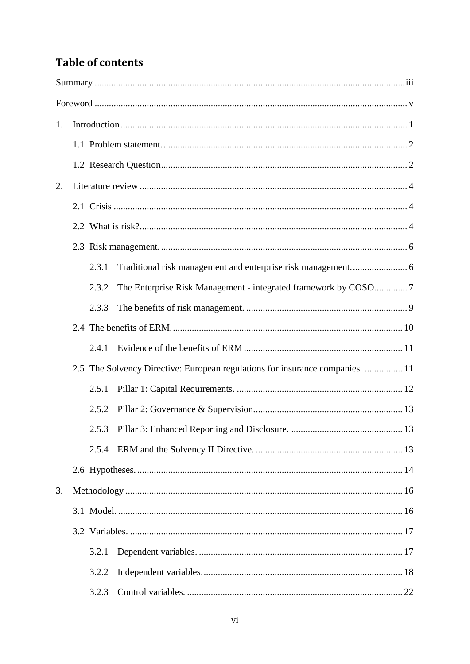# **Table of contents**

| 1. |  |       |                                                                               |  |
|----|--|-------|-------------------------------------------------------------------------------|--|
|    |  |       |                                                                               |  |
|    |  |       |                                                                               |  |
| 2. |  |       |                                                                               |  |
|    |  |       |                                                                               |  |
|    |  |       |                                                                               |  |
|    |  |       |                                                                               |  |
|    |  | 2.3.1 |                                                                               |  |
|    |  | 2.3.2 |                                                                               |  |
|    |  | 2.3.3 |                                                                               |  |
|    |  |       |                                                                               |  |
|    |  | 2.4.1 |                                                                               |  |
|    |  |       | 2.5 The Solvency Directive: European regulations for insurance companies.  11 |  |
|    |  | 2.5.1 |                                                                               |  |
|    |  | 2.5.2 |                                                                               |  |
|    |  |       |                                                                               |  |
|    |  | 2.5.4 |                                                                               |  |
|    |  |       |                                                                               |  |
| 3. |  |       |                                                                               |  |
|    |  |       |                                                                               |  |
|    |  |       |                                                                               |  |
|    |  | 3.2.1 |                                                                               |  |
|    |  | 3.2.2 |                                                                               |  |
|    |  | 3.2.3 |                                                                               |  |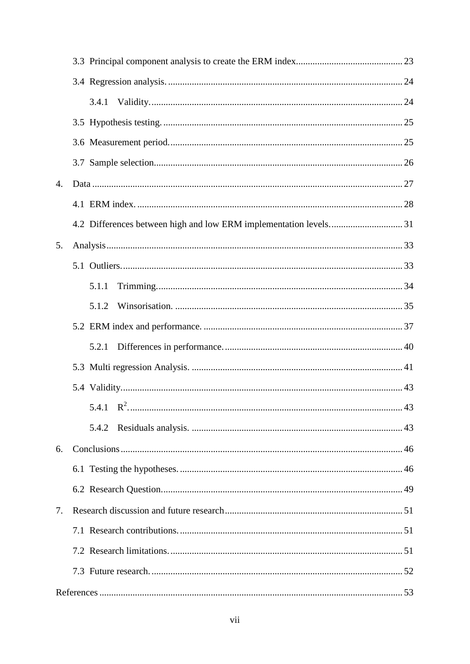|                | 3.4.1 |  |
|----------------|-------|--|
|                |       |  |
|                |       |  |
|                |       |  |
| $\mathbf{4}$ . |       |  |
|                |       |  |
|                |       |  |
| 5.             |       |  |
|                |       |  |
|                | 5.1.1 |  |
|                | 5.1.2 |  |
|                |       |  |
|                | 5.2.1 |  |
|                |       |  |
|                |       |  |
|                |       |  |
|                | 5.4.2 |  |
| 6.             |       |  |
|                |       |  |
|                |       |  |
| 7.             |       |  |
|                |       |  |
|                |       |  |
|                |       |  |
|                |       |  |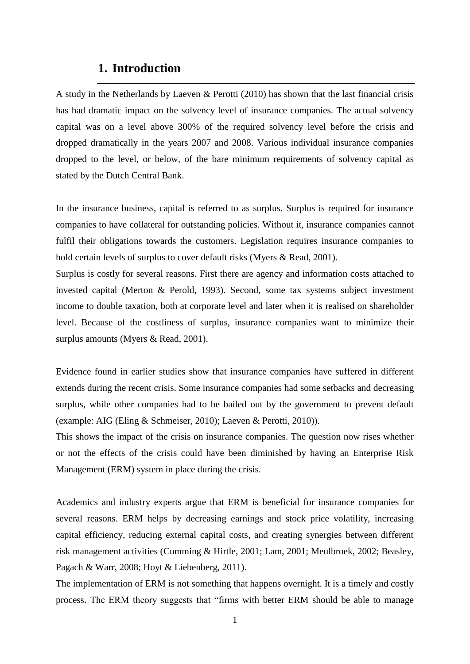# **1. Introduction**

<span id="page-8-0"></span>A study in the Netherlands by Laeven & Perotti (2010) has shown that the last financial crisis has had dramatic impact on the solvency level of insurance companies. The actual solvency capital was on a level above 300% of the required solvency level before the crisis and dropped dramatically in the years 2007 and 2008. Various individual insurance companies dropped to the level, or below, of the bare minimum requirements of solvency capital as stated by the Dutch Central Bank.

In the insurance business, capital is referred to as surplus. Surplus is required for insurance companies to have collateral for outstanding policies. Without it, insurance companies cannot fulfil their obligations towards the customers. Legislation requires insurance companies to hold certain levels of surplus to cover default risks (Myers & Read, 2001).

Surplus is costly for several reasons. First there are agency and information costs attached to invested capital (Merton & Perold, 1993). Second, some tax systems subject investment income to double taxation, both at corporate level and later when it is realised on shareholder level. Because of the costliness of surplus, insurance companies want to minimize their surplus amounts (Myers & Read, 2001).

Evidence found in earlier studies show that insurance companies have suffered in different extends during the recent crisis. Some insurance companies had some setbacks and decreasing surplus, while other companies had to be bailed out by the government to prevent default (example: AIG (Eling & Schmeiser, 2010); Laeven & Perotti, 2010)).

This shows the impact of the crisis on insurance companies. The question now rises whether or not the effects of the crisis could have been diminished by having an Enterprise Risk Management (ERM) system in place during the crisis.

Academics and industry experts argue that ERM is beneficial for insurance companies for several reasons. ERM helps by decreasing earnings and stock price volatility, increasing capital efficiency, reducing external capital costs, and creating synergies between different risk management activities (Cumming & Hirtle, 2001; Lam, 2001; Meulbroek, 2002; Beasley, Pagach & Warr, 2008; Hoyt & Liebenberg, 2011).

The implementation of ERM is not something that happens overnight. It is a timely and costly process. The ERM theory suggests that "firms with better ERM should be able to manage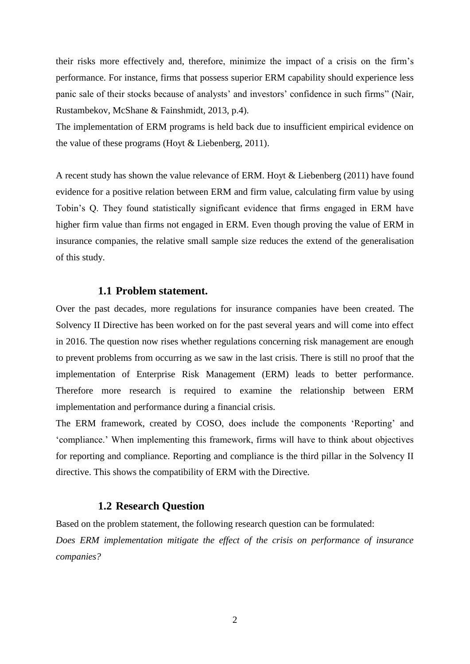their risks more effectively and, therefore, minimize the impact of a crisis on the firm's performance. For instance, firms that possess superior ERM capability should experience less panic sale of their stocks because of analysts' and investors' confidence in such firms" (Nair, Rustambekov, McShane & Fainshmidt, 2013, p.4).

The implementation of ERM programs is held back due to insufficient empirical evidence on the value of these programs (Hoyt & Liebenberg, 2011).

A recent study has shown the value relevance of ERM. Hoyt & Liebenberg (2011) have found evidence for a positive relation between ERM and firm value, calculating firm value by using Tobin's Q. They found statistically significant evidence that firms engaged in ERM have higher firm value than firms not engaged in ERM. Even though proving the value of ERM in insurance companies, the relative small sample size reduces the extend of the generalisation of this study.

# **1.1 Problem statement.**

<span id="page-9-0"></span>Over the past decades, more regulations for insurance companies have been created. The Solvency II Directive has been worked on for the past several years and will come into effect in 2016. The question now rises whether regulations concerning risk management are enough to prevent problems from occurring as we saw in the last crisis. There is still no proof that the implementation of Enterprise Risk Management (ERM) leads to better performance. Therefore more research is required to examine the relationship between ERM implementation and performance during a financial crisis.

The ERM framework, created by COSO, does include the components 'Reporting' and ‗compliance.' When implementing this framework, firms will have to think about objectives for reporting and compliance. Reporting and compliance is the third pillar in the Solvency II directive. This shows the compatibility of ERM with the Directive.

# **1.2 Research Question**

<span id="page-9-1"></span>Based on the problem statement, the following research question can be formulated: *Does ERM implementation mitigate the effect of the crisis on performance of insurance companies?*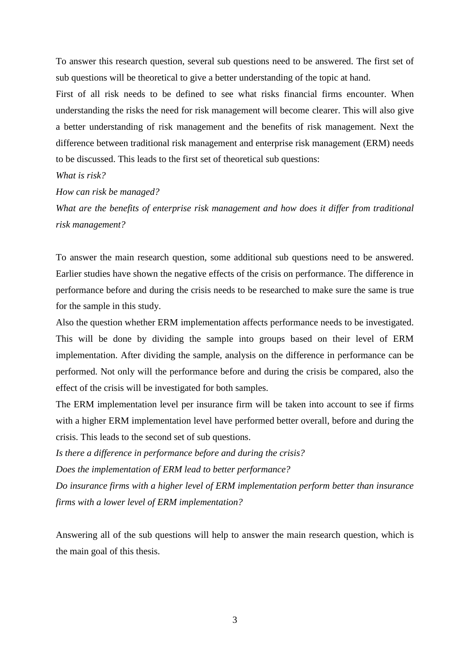To answer this research question, several sub questions need to be answered. The first set of sub questions will be theoretical to give a better understanding of the topic at hand.

First of all risk needs to be defined to see what risks financial firms encounter. When understanding the risks the need for risk management will become clearer. This will also give a better understanding of risk management and the benefits of risk management. Next the difference between traditional risk management and enterprise risk management (ERM) needs to be discussed. This leads to the first set of theoretical sub questions:

### *What is risk?*

*How can risk be managed?*

*What are the benefits of enterprise risk management and how does it differ from traditional risk management?*

To answer the main research question, some additional sub questions need to be answered. Earlier studies have shown the negative effects of the crisis on performance. The difference in performance before and during the crisis needs to be researched to make sure the same is true for the sample in this study.

Also the question whether ERM implementation affects performance needs to be investigated. This will be done by dividing the sample into groups based on their level of ERM implementation. After dividing the sample, analysis on the difference in performance can be performed. Not only will the performance before and during the crisis be compared, also the effect of the crisis will be investigated for both samples.

The ERM implementation level per insurance firm will be taken into account to see if firms with a higher ERM implementation level have performed better overall, before and during the crisis. This leads to the second set of sub questions.

*Is there a difference in performance before and during the crisis?*

*Does the implementation of ERM lead to better performance?*

*Do insurance firms with a higher level of ERM implementation perform better than insurance firms with a lower level of ERM implementation?*

Answering all of the sub questions will help to answer the main research question, which is the main goal of this thesis.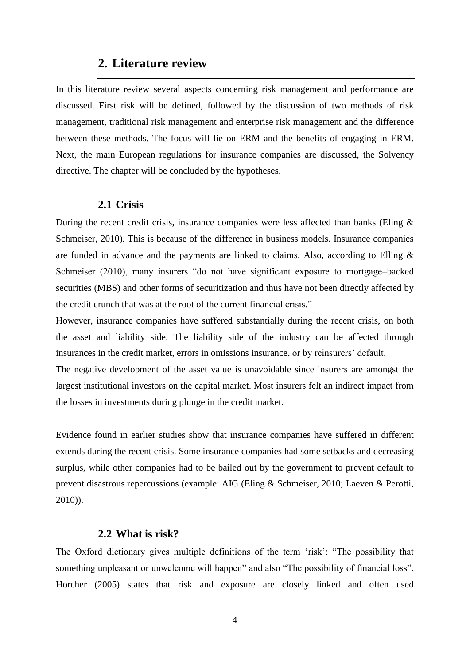# **2. Literature review**

<span id="page-11-0"></span>In this literature review several aspects concerning risk management and performance are discussed. First risk will be defined, followed by the discussion of two methods of risk management, traditional risk management and enterprise risk management and the difference between these methods. The focus will lie on ERM and the benefits of engaging in ERM. Next, the main European regulations for insurance companies are discussed, the Solvency directive. The chapter will be concluded by the hypotheses.

# **2.1 Crisis**

<span id="page-11-1"></span>During the recent credit crisis, insurance companies were less affected than banks (Eling & Schmeiser, 2010). This is because of the difference in business models. Insurance companies are funded in advance and the payments are linked to claims. Also, according to Elling & Schmeiser (2010), many insurers "do not have significant exposure to mortgage–backed securities (MBS) and other forms of securitization and thus have not been directly affected by the credit crunch that was at the root of the current financial crisis."

However, insurance companies have suffered substantially during the recent crisis, on both the asset and liability side. The liability side of the industry can be affected through insurances in the credit market, errors in omissions insurance, or by reinsurers' default.

The negative development of the asset value is unavoidable since insurers are amongst the largest institutional investors on the capital market. Most insurers felt an indirect impact from the losses in investments during plunge in the credit market.

Evidence found in earlier studies show that insurance companies have suffered in different extends during the recent crisis. Some insurance companies had some setbacks and decreasing surplus, while other companies had to be bailed out by the government to prevent default to prevent disastrous repercussions (example: AIG (Eling & Schmeiser, 2010; Laeven & Perotti, 2010)).

# **2.2 What is risk?**

<span id="page-11-2"></span>The Oxford dictionary gives multiple definitions of the term 'risk': "The possibility that something unpleasant or unwelcome will happen" and also "The possibility of financial loss". Horcher (2005) states that risk and exposure are closely linked and often used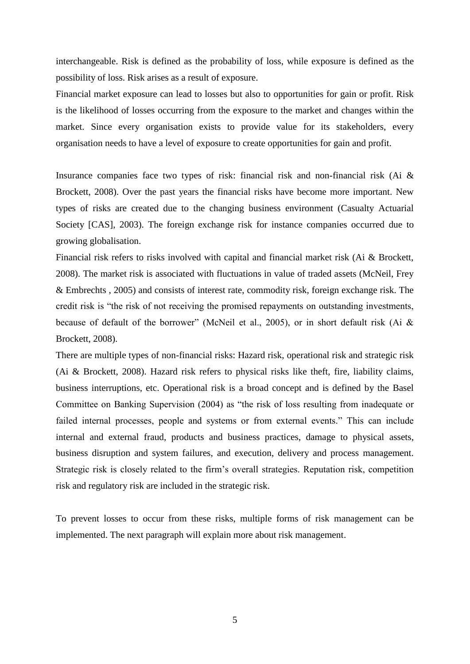interchangeable. Risk is defined as the probability of loss, while exposure is defined as the possibility of loss. Risk arises as a result of exposure.

Financial market exposure can lead to losses but also to opportunities for gain or profit. Risk is the likelihood of losses occurring from the exposure to the market and changes within the market. Since every organisation exists to provide value for its stakeholders, every organisation needs to have a level of exposure to create opportunities for gain and profit.

Insurance companies face two types of risk: financial risk and non-financial risk (Ai & Brockett, 2008). Over the past years the financial risks have become more important. New types of risks are created due to the changing business environment (Casualty Actuarial Society [CAS], 2003). The foreign exchange risk for instance companies occurred due to growing globalisation.

Financial risk refers to risks involved with capital and financial market risk (Ai & Brockett, 2008). The market risk is associated with fluctuations in value of traded assets (McNeil, Frey & Embrechts , 2005) and consists of interest rate, commodity risk, foreign exchange risk. The credit risk is "the risk of not receiving the promised repayments on outstanding investments, because of default of the borrower" (McNeil et al., 2005), or in short default risk (Ai  $&$ Brockett, 2008).

There are multiple types of non-financial risks: Hazard risk, operational risk and strategic risk (Ai & Brockett, 2008). Hazard risk refers to physical risks like theft, fire, liability claims, business interruptions, etc. Operational risk is a broad concept and is defined by the Basel Committee on Banking Supervision (2004) as "the risk of loss resulting from inadequate or failed internal processes, people and systems or from external events." This can include internal and external fraud, products and business practices, damage to physical assets, business disruption and system failures, and execution, delivery and process management. Strategic risk is closely related to the firm's overall strategies. Reputation risk, competition risk and regulatory risk are included in the strategic risk.

To prevent losses to occur from these risks, multiple forms of risk management can be implemented. The next paragraph will explain more about risk management.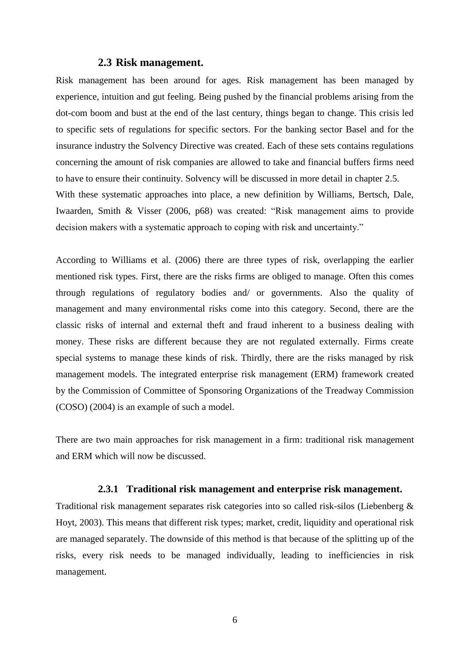# **2.3 Risk management.**

<span id="page-13-0"></span>Risk management has been around for ages. Risk management has been managed by experience, intuition and gut feeling. Being pushed by the financial problems arising from the dot-com boom and bust at the end of the last century, things began to change. This crisis led to specific sets of regulations for specific sectors. For the banking sector Basel and for the insurance industry the Solvency Directive was created. Each of these sets contains regulations concerning the amount of risk companies are allowed to take and financial buffers firms need to have to ensure their continuity. Solvency will be discussed in more detail in chapter 2.5. With these systematic approaches into place, a new definition by Williams, Bertsch, Dale, Iwaarden, Smith & Visser (2006, p68) was created: "Risk management aims to provide decision makers with a systematic approach to coping with risk and uncertainty."

According to Williams et al. (2006) there are three types of risk, overlapping the earlier mentioned risk types. First, there are the risks firms are obliged to manage. Often this comes through regulations of regulatory bodies and/ or governments. Also the quality of management and many environmental risks come into this category. Second, there are the classic risks of internal and external theft and fraud inherent to a business dealing with money. These risks are different because they are not regulated externally. Firms create special systems to manage these kinds of risk. Thirdly, there are the risks managed by risk management models. The integrated enterprise risk management (ERM) framework created by the Commission of Committee of Sponsoring Organizations of the Treadway Commission (COSO) (2004) is an example of such a model.

There are two main approaches for risk management in a firm: traditional risk management and ERM which will now be discussed.

# **2.3.1 Traditional risk management and enterprise risk management.**

<span id="page-13-1"></span>Traditional risk management separates risk categories into so called risk-silos (Liebenberg & Hoyt, 2003). This means that different risk types; market, credit, liquidity and operational risk are managed separately. The downside of this method is that because of the splitting up of the risks, every risk needs to be managed individually, leading to inefficiencies in risk management.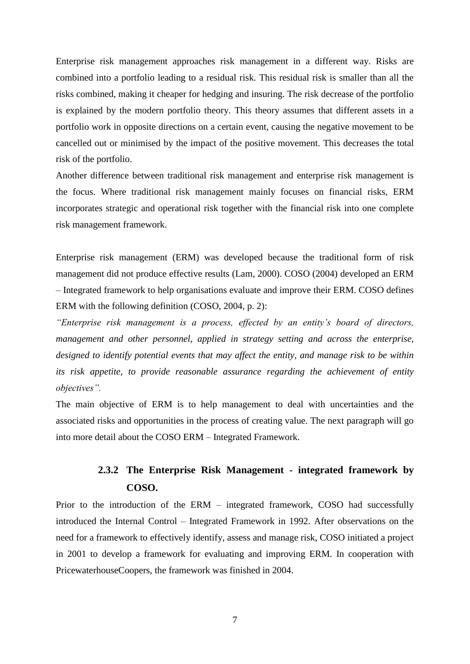Enterprise risk management approaches risk management in a different way. Risks are combined into a portfolio leading to a residual risk. This residual risk is smaller than all the risks combined, making it cheaper for hedging and insuring. The risk decrease of the portfolio is explained by the modern portfolio theory. This theory assumes that different assets in a portfolio work in opposite directions on a certain event, causing the negative movement to be cancelled out or minimised by the impact of the positive movement. This decreases the total risk of the portfolio.

Another difference between traditional risk management and enterprise risk management is the focus. Where traditional risk management mainly focuses on financial risks, ERM incorporates strategic and operational risk together with the financial risk into one complete risk management framework.

Enterprise risk management (ERM) was developed because the traditional form of risk management did not produce effective results (Lam, 2000). COSO (2004) developed an ERM – Integrated framework to help organisations evaluate and improve their ERM. COSO defines ERM with the following definition (COSO, 2004, p. 2):

*"Enterprise risk management is a process, effected by an entity's board of directors, management and other personnel, applied in strategy setting and across the enterprise, designed to identify potential events that may affect the entity, and manage risk to be within its risk appetite, to provide reasonable assurance regarding the achievement of entity objectives".*

The main objective of ERM is to help management to deal with uncertainties and the associated risks and opportunities in the process of creating value. The next paragraph will go into more detail about the COSO ERM – Integrated Framework.

# **2.3.2 The Enterprise Risk Management - integrated framework by COSO.**

<span id="page-14-0"></span>Prior to the introduction of the ERM – integrated framework, COSO had successfully introduced the Internal Control – Integrated Framework in 1992. After observations on the need for a framework to effectively identify, assess and manage risk, COSO initiated a project in 2001 to develop a framework for evaluating and improving ERM. In cooperation with PricewaterhouseCoopers, the framework was finished in 2004.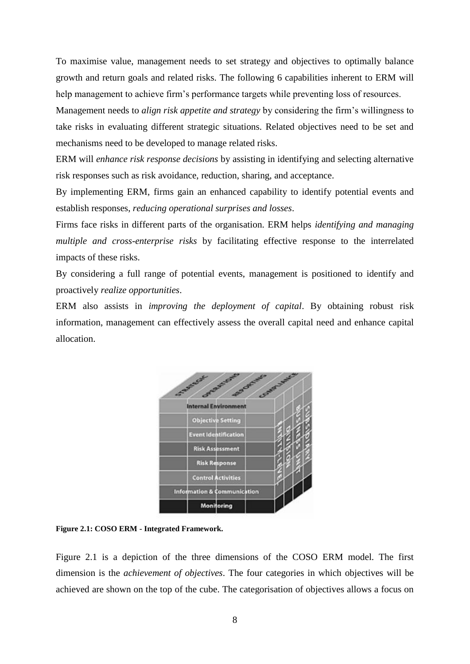To maximise value, management needs to set strategy and objectives to optimally balance growth and return goals and related risks. The following 6 capabilities inherent to ERM will help management to achieve firm's performance targets while preventing loss of resources.

Management needs to *align risk appetite and strategy* by considering the firm's willingness to take risks in evaluating different strategic situations. Related objectives need to be set and mechanisms need to be developed to manage related risks.

ERM will *enhance risk response decisions* by assisting in identifying and selecting alternative risk responses such as risk avoidance, reduction, sharing, and acceptance.

By implementing ERM, firms gain an enhanced capability to identify potential events and establish responses, *reducing operational surprises and losses*.

Firms face risks in different parts of the organisation. ERM helps *identifying and managing multiple and cross-enterprise risks* by facilitating effective response to the interrelated impacts of these risks.

By considering a full range of potential events, management is positioned to identify and proactively *realize opportunities*.

ERM also assists in *improving the deployment of capital*. By obtaining robust risk information, management can effectively assess the overall capital need and enhance capital allocation.



**Figure 2.1: COSO ERM - Integrated Framework.**

Figure 2.1 is a depiction of the three dimensions of the COSO ERM model. The first dimension is the *achievement of objectives*. The four categories in which objectives will be achieved are shown on the top of the cube. The categorisation of objectives allows a focus on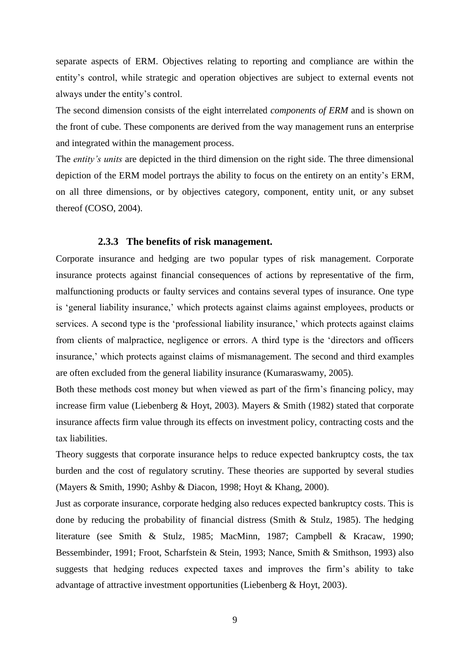separate aspects of ERM. Objectives relating to reporting and compliance are within the entity's control, while strategic and operation objectives are subject to external events not always under the entity's control.

The second dimension consists of the eight interrelated *components of ERM* and is shown on the front of cube. These components are derived from the way management runs an enterprise and integrated within the management process.

The *entity's units* are depicted in the third dimension on the right side. The three dimensional depiction of the ERM model portrays the ability to focus on the entirety on an entity's ERM, on all three dimensions, or by objectives category, component, entity unit, or any subset thereof (COSO, 2004).

### **2.3.3 The benefits of risk management.**

<span id="page-16-0"></span>Corporate insurance and hedging are two popular types of risk management. Corporate insurance protects against financial consequences of actions by representative of the firm, malfunctioning products or faulty services and contains several types of insurance. One type is ‗general liability insurance,' which protects against claims against employees, products or services. A second type is the 'professional liability insurance,' which protects against claims from clients of malpractice, negligence or errors. A third type is the 'directors and officers insurance,' which protects against claims of mismanagement. The second and third examples are often excluded from the general liability insurance (Kumaraswamy, 2005).

Both these methods cost money but when viewed as part of the firm's financing policy, may increase firm value (Liebenberg & Hoyt, 2003). Mayers & Smith (1982) stated that corporate insurance affects firm value through its effects on investment policy, contracting costs and the tax liabilities.

Theory suggests that corporate insurance helps to reduce expected bankruptcy costs, the tax burden and the cost of regulatory scrutiny. These theories are supported by several studies (Mayers & Smith, 1990; Ashby & Diacon, 1998; Hoyt & Khang, 2000).

Just as corporate insurance, corporate hedging also reduces expected bankruptcy costs. This is done by reducing the probability of financial distress (Smith & Stulz, 1985). The hedging literature (see Smith & Stulz, 1985; MacMinn, 1987; Campbell & Kracaw, 1990; Bessembinder, 1991; Froot, Scharfstein & Stein, 1993; Nance, Smith & Smithson, 1993) also suggests that hedging reduces expected taxes and improves the firm's ability to take advantage of attractive investment opportunities (Liebenberg & Hoyt, 2003).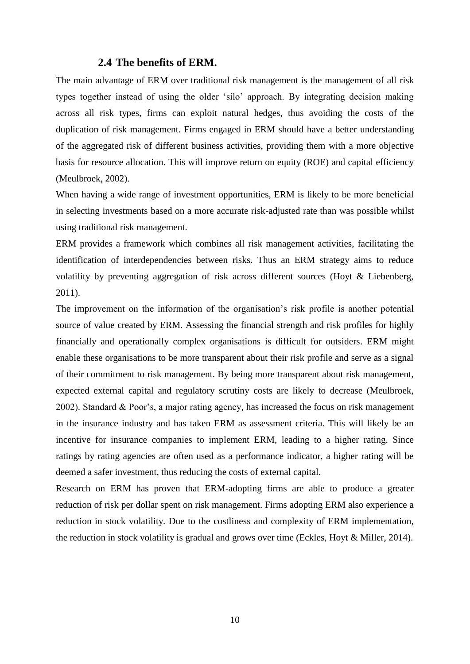# **2.4 The benefits of ERM.**

<span id="page-17-0"></span>The main advantage of ERM over traditional risk management is the management of all risk types together instead of using the older 'silo' approach. By integrating decision making across all risk types, firms can exploit natural hedges, thus avoiding the costs of the duplication of risk management. Firms engaged in ERM should have a better understanding of the aggregated risk of different business activities, providing them with a more objective basis for resource allocation. This will improve return on equity (ROE) and capital efficiency (Meulbroek, 2002).

When having a wide range of investment opportunities, ERM is likely to be more beneficial in selecting investments based on a more accurate risk-adjusted rate than was possible whilst using traditional risk management.

ERM provides a framework which combines all risk management activities, facilitating the identification of interdependencies between risks. Thus an ERM strategy aims to reduce volatility by preventing aggregation of risk across different sources (Hoyt & Liebenberg, 2011).

The improvement on the information of the organisation's risk profile is another potential source of value created by ERM. Assessing the financial strength and risk profiles for highly financially and operationally complex organisations is difficult for outsiders. ERM might enable these organisations to be more transparent about their risk profile and serve as a signal of their commitment to risk management. By being more transparent about risk management, expected external capital and regulatory scrutiny costs are likely to decrease (Meulbroek, 2002). Standard & Poor's, a major rating agency, has increased the focus on risk management in the insurance industry and has taken ERM as assessment criteria. This will likely be an incentive for insurance companies to implement ERM, leading to a higher rating. Since ratings by rating agencies are often used as a performance indicator, a higher rating will be deemed a safer investment, thus reducing the costs of external capital.

Research on ERM has proven that ERM-adopting firms are able to produce a greater reduction of risk per dollar spent on risk management. Firms adopting ERM also experience a reduction in stock volatility. Due to the costliness and complexity of ERM implementation, the reduction in stock volatility is gradual and grows over time (Eckles, Hoyt & Miller, 2014).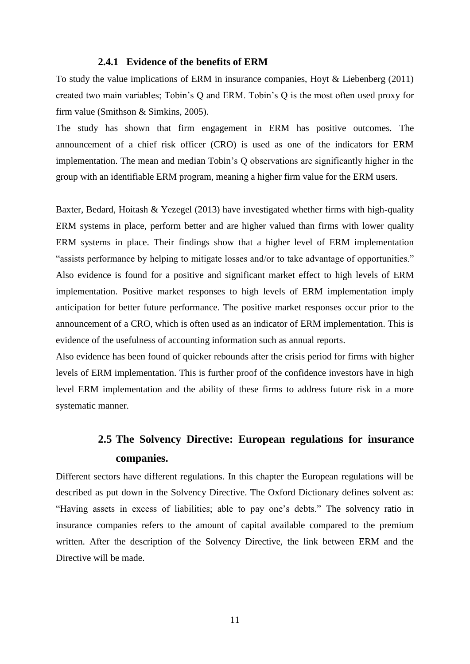# **2.4.1 Evidence of the benefits of ERM**

<span id="page-18-0"></span>To study the value implications of ERM in insurance companies, Hoyt & Liebenberg (2011) created two main variables; Tobin's Q and ERM. Tobin's Q is the most often used proxy for firm value (Smithson & Simkins, 2005).

The study has shown that firm engagement in ERM has positive outcomes. The announcement of a chief risk officer (CRO) is used as one of the indicators for ERM implementation. The mean and median Tobin's Q observations are significantly higher in the group with an identifiable ERM program, meaning a higher firm value for the ERM users.

Baxter, Bedard, Hoitash & Yezegel (2013) have investigated whether firms with high-quality ERM systems in place, perform better and are higher valued than firms with lower quality ERM systems in place. Their findings show that a higher level of ERM implementation "assists performance by helping to mitigate losses and/or to take advantage of opportunities." Also evidence is found for a positive and significant market effect to high levels of ERM implementation. Positive market responses to high levels of ERM implementation imply anticipation for better future performance. The positive market responses occur prior to the announcement of a CRO, which is often used as an indicator of ERM implementation. This is evidence of the usefulness of accounting information such as annual reports.

Also evidence has been found of quicker rebounds after the crisis period for firms with higher levels of ERM implementation. This is further proof of the confidence investors have in high level ERM implementation and the ability of these firms to address future risk in a more systematic manner.

# **2.5 The Solvency Directive: European regulations for insurance companies.**

<span id="page-18-1"></span>Different sectors have different regulations. In this chapter the European regulations will be described as put down in the Solvency Directive. The Oxford Dictionary defines solvent as: ―Having assets in excess of liabilities; able to pay one's debts.‖ The solvency ratio in insurance companies refers to the amount of capital available compared to the premium written. After the description of the Solvency Directive, the link between ERM and the Directive will be made.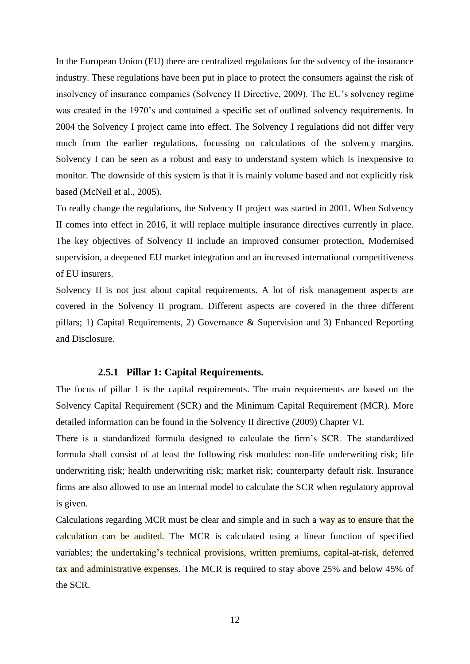In the European Union (EU) there are centralized regulations for the solvency of the insurance industry. These regulations have been put in place to protect the consumers against the risk of insolvency of insurance companies (Solvency II Directive, 2009). The EU's solvency regime was created in the 1970's and contained a specific set of outlined solvency requirements. In 2004 the Solvency I project came into effect. The Solvency I regulations did not differ very much from the earlier regulations, focussing on calculations of the solvency margins. Solvency I can be seen as a robust and easy to understand system which is inexpensive to monitor. The downside of this system is that it is mainly volume based and not explicitly risk based (McNeil et al., 2005).

To really change the regulations, the Solvency II project was started in 2001. When Solvency II comes into effect in 2016, it will replace multiple insurance directives currently in place. The key objectives of Solvency II include an improved consumer protection, Modernised supervision, a deepened EU market integration and an increased international competitiveness of EU insurers.

Solvency II is not just about capital requirements. A lot of risk management aspects are covered in the Solvency II program. Different aspects are covered in the three different pillars; 1) Capital Requirements, 2) Governance & Supervision and 3) Enhanced Reporting and Disclosure.

### **2.5.1 Pillar 1: Capital Requirements.**

<span id="page-19-0"></span>The focus of pillar 1 is the capital requirements. The main requirements are based on the Solvency Capital Requirement (SCR) and the Minimum Capital Requirement (MCR). More detailed information can be found in the Solvency II directive (2009) Chapter VI.

There is a standardized formula designed to calculate the firm's SCR. The standardized formula shall consist of at least the following risk modules: non-life underwriting risk; life underwriting risk; health underwriting risk; market risk; counterparty default risk. Insurance firms are also allowed to use an internal model to calculate the SCR when regulatory approval is given.

Calculations regarding MCR must be clear and simple and in such a way as to ensure that the calculation can be audited. The MCR is calculated using a linear function of specified variables; the undertaking's technical provisions, written premiums, capital-at-risk, deferred tax and administrative expenses. The MCR is required to stay above 25% and below 45% of the SCR.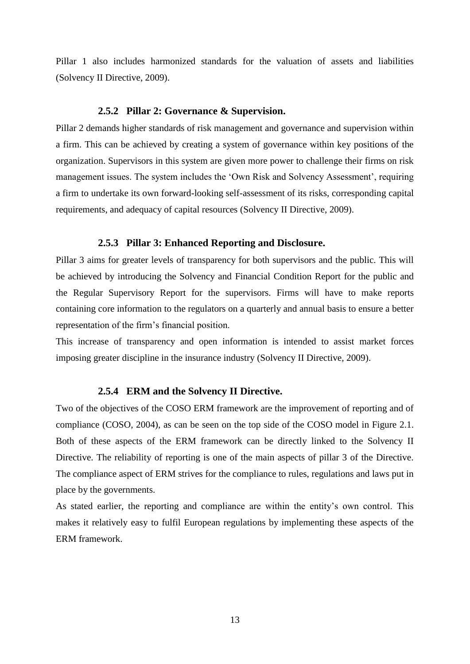Pillar 1 also includes harmonized standards for the valuation of assets and liabilities (Solvency II Directive, 2009).

# **2.5.2 Pillar 2: Governance & Supervision.**

<span id="page-20-0"></span>Pillar 2 demands higher standards of risk management and governance and supervision within a firm. This can be achieved by creating a system of governance within key positions of the organization. Supervisors in this system are given more power to challenge their firms on risk management issues. The system includes the 'Own Risk and Solvency Assessment', requiring a firm to undertake its own forward-looking self-assessment of its risks, corresponding capital requirements, and adequacy of capital resources (Solvency II Directive, 2009).

### **2.5.3 Pillar 3: Enhanced Reporting and Disclosure.**

<span id="page-20-1"></span>Pillar 3 aims for greater levels of transparency for both supervisors and the public. This will be achieved by introducing the Solvency and Financial Condition Report for the public and the Regular Supervisory Report for the supervisors. Firms will have to make reports containing core information to the regulators on a quarterly and annual basis to ensure a better representation of the firm's financial position.

This increase of transparency and open information is intended to assist market forces imposing greater discipline in the insurance industry (Solvency II Directive, 2009).

# **2.5.4 ERM and the Solvency II Directive.**

<span id="page-20-2"></span>Two of the objectives of the COSO ERM framework are the improvement of reporting and of compliance (COSO, 2004), as can be seen on the top side of the COSO model in Figure 2.1. Both of these aspects of the ERM framework can be directly linked to the Solvency II Directive. The reliability of reporting is one of the main aspects of pillar 3 of the Directive. The compliance aspect of ERM strives for the compliance to rules, regulations and laws put in place by the governments.

As stated earlier, the reporting and compliance are within the entity's own control. This makes it relatively easy to fulfil European regulations by implementing these aspects of the ERM framework.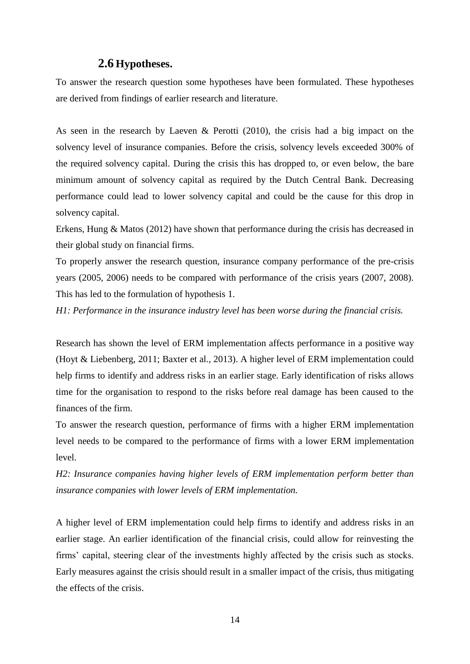# **2.6 Hypotheses.**

<span id="page-21-0"></span>To answer the research question some hypotheses have been formulated. These hypotheses are derived from findings of earlier research and literature.

As seen in the research by Laeven & Perotti (2010), the crisis had a big impact on the solvency level of insurance companies. Before the crisis, solvency levels exceeded 300% of the required solvency capital. During the crisis this has dropped to, or even below, the bare minimum amount of solvency capital as required by the Dutch Central Bank. Decreasing performance could lead to lower solvency capital and could be the cause for this drop in solvency capital.

Erkens, Hung & Matos (2012) have shown that performance during the crisis has decreased in their global study on financial firms.

To properly answer the research question, insurance company performance of the pre-crisis years (2005, 2006) needs to be compared with performance of the crisis years (2007, 2008). This has led to the formulation of hypothesis 1.

*H1: Performance in the insurance industry level has been worse during the financial crisis.*

Research has shown the level of ERM implementation affects performance in a positive way (Hoyt & Liebenberg, 2011; Baxter et al., 2013). A higher level of ERM implementation could help firms to identify and address risks in an earlier stage. Early identification of risks allows time for the organisation to respond to the risks before real damage has been caused to the finances of the firm.

To answer the research question, performance of firms with a higher ERM implementation level needs to be compared to the performance of firms with a lower ERM implementation level.

*H2: Insurance companies having higher levels of ERM implementation perform better than insurance companies with lower levels of ERM implementation.*

A higher level of ERM implementation could help firms to identify and address risks in an earlier stage. An earlier identification of the financial crisis, could allow for reinvesting the firms' capital, steering clear of the investments highly affected by the crisis such as stocks. Early measures against the crisis should result in a smaller impact of the crisis, thus mitigating the effects of the crisis.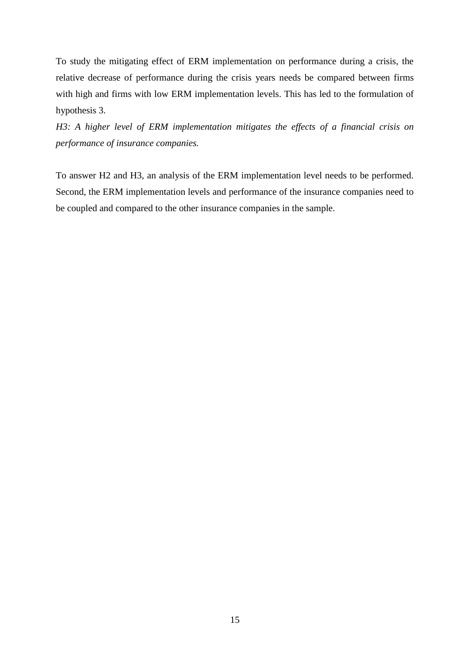To study the mitigating effect of ERM implementation on performance during a crisis, the relative decrease of performance during the crisis years needs be compared between firms with high and firms with low ERM implementation levels. This has led to the formulation of hypothesis 3.

*H3: A higher level of ERM implementation mitigates the effects of a financial crisis on performance of insurance companies.*

To answer H2 and H3, an analysis of the ERM implementation level needs to be performed. Second, the ERM implementation levels and performance of the insurance companies need to be coupled and compared to the other insurance companies in the sample.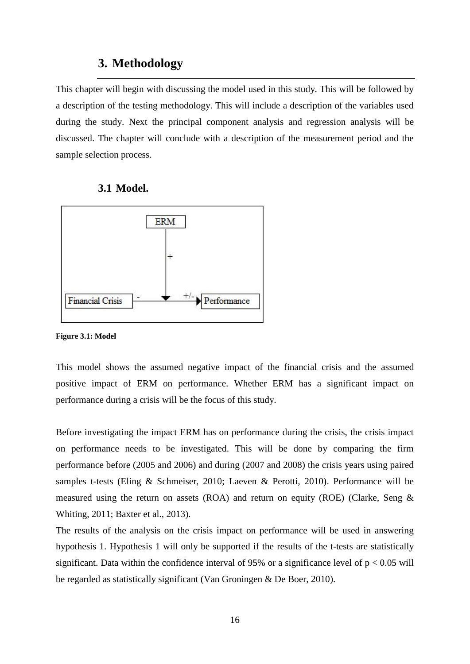# **3. Methodology**

<span id="page-23-0"></span>This chapter will begin with discussing the model used in this study. This will be followed by a description of the testing methodology. This will include a description of the variables used during the study. Next the principal component analysis and regression analysis will be discussed. The chapter will conclude with a description of the measurement period and the sample selection process.

# **3.1 Model.**

<span id="page-23-1"></span>

### **Figure 3.1: Model**

This model shows the assumed negative impact of the financial crisis and the assumed positive impact of ERM on performance. Whether ERM has a significant impact on performance during a crisis will be the focus of this study.

Before investigating the impact ERM has on performance during the crisis, the crisis impact on performance needs to be investigated. This will be done by comparing the firm performance before (2005 and 2006) and during (2007 and 2008) the crisis years using paired samples t-tests (Eling & Schmeiser, 2010; Laeven & Perotti, 2010). Performance will be measured using the return on assets (ROA) and return on equity (ROE) (Clarke, Seng  $\&$ Whiting, 2011; Baxter et al., 2013).

The results of the analysis on the crisis impact on performance will be used in answering hypothesis 1. Hypothesis 1 will only be supported if the results of the t-tests are statistically significant. Data within the confidence interval of 95% or a significance level of  $p < 0.05$  will be regarded as statistically significant (Van Groningen & De Boer, 2010).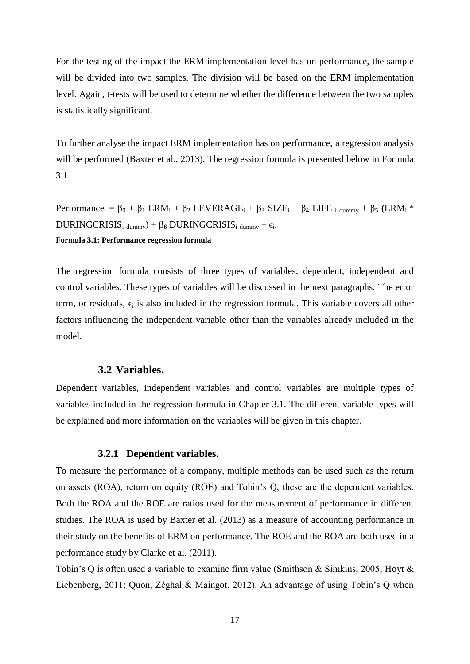For the testing of the impact the ERM implementation level has on performance, the sample will be divided into two samples. The division will be based on the ERM implementation level. Again, t-tests will be used to determine whether the difference between the two samples is statistically significant.

To further analyse the impact ERM implementation has on performance, a regression analysis will be performed (Baxter et al., 2013). The regression formula is presented below in Formula 3.1.

Performance<sub>i</sub> =  $\beta_0$  +  $\beta_1$  ERM<sub>i</sub> +  $\beta_2$  LEVERAGE<sub>i</sub> +  $\beta_3$  SIZE<sub>i</sub> +  $\beta_4$  LIFE <sub>i dummy</sub> +  $\beta_5$  (ERM<sub>i</sub> \*  $DURINGCRISIS_i_{dummy} + \beta_6 DURINGCRISIS_i_{dummy} + \epsilon_i$ . **Formula 3.1: Performance regression formula**

The regression formula consists of three types of variables; dependent, independent and control variables. These types of variables will be discussed in the next paragraphs. The error term, or residuals,  $\epsilon_i$  is also included in the regression formula. This variable covers all other factors influencing the independent variable other than the variables already included in the model.

# **3.2 Variables.**

<span id="page-24-0"></span>Dependent variables, independent variables and control variables are multiple types of variables included in the regression formula in Chapter 3.1. The different variable types will be explained and more information on the variables will be given in this chapter.

# **3.2.1 Dependent variables.**

<span id="page-24-1"></span>To measure the performance of a company, multiple methods can be used such as the return on assets (ROA), return on equity (ROE) and Tobin's Q, these are the dependent variables. Both the ROA and the ROE are ratios used for the measurement of performance in different studies. The ROA is used by Baxter et al. (2013) as a measure of accounting performance in their study on the benefits of ERM on performance. The ROE and the ROA are both used in a performance study by Clarke et al. (2011).

Tobin's Q is often used a variable to examine firm value (Smithson & Simkins, 2005; Hoyt & Liebenberg, 2011; Quon, Zéghal & Maingot, 2012). An advantage of using Tobin's Q when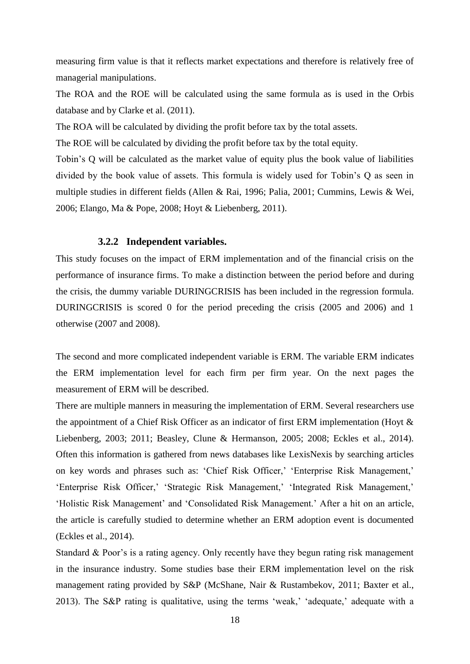measuring firm value is that it reflects market expectations and therefore is relatively free of managerial manipulations.

The ROA and the ROE will be calculated using the same formula as is used in the Orbis database and by Clarke et al. (2011).

The ROA will be calculated by dividing the profit before tax by the total assets.

The ROE will be calculated by dividing the profit before tax by the total equity.

Tobin's Q will be calculated as the market value of equity plus the book value of liabilities divided by the book value of assets. This formula is widely used for Tobin's Q as seen in multiple studies in different fields (Allen & Rai, 1996; Palia, 2001; Cummins, Lewis & Wei, 2006; Elango, Ma & Pope, 2008; Hoyt & Liebenberg, 2011).

### **3.2.2 Independent variables.**

<span id="page-25-0"></span>This study focuses on the impact of ERM implementation and of the financial crisis on the performance of insurance firms. To make a distinction between the period before and during the crisis, the dummy variable DURINGCRISIS has been included in the regression formula. DURINGCRISIS is scored 0 for the period preceding the crisis (2005 and 2006) and 1 otherwise (2007 and 2008).

The second and more complicated independent variable is ERM. The variable ERM indicates the ERM implementation level for each firm per firm year. On the next pages the measurement of ERM will be described.

There are multiple manners in measuring the implementation of ERM. Several researchers use the appointment of a Chief Risk Officer as an indicator of first ERM implementation (Hoyt & Liebenberg, 2003; 2011; Beasley, Clune & Hermanson, 2005; 2008; Eckles et al., 2014). Often this information is gathered from news databases like LexisNexis by searching articles on key words and phrases such as: ‗Chief Risk Officer,' ‗Enterprise Risk Management,' ‗Enterprise Risk Officer,' ‗Strategic Risk Management,' ‗Integrated Risk Management,' ‗Holistic Risk Management' and ‗Consolidated Risk Management.' After a hit on an article, the article is carefully studied to determine whether an ERM adoption event is documented (Eckles et al., 2014).

Standard & Poor's is a rating agency. Only recently have they begun rating risk management in the insurance industry. Some studies base their ERM implementation level on the risk management rating provided by S&P (McShane, Nair & Rustambekov, 2011; Baxter et al., 2013). The S&P rating is qualitative, using the terms 'weak,' 'adequate,' adequate with a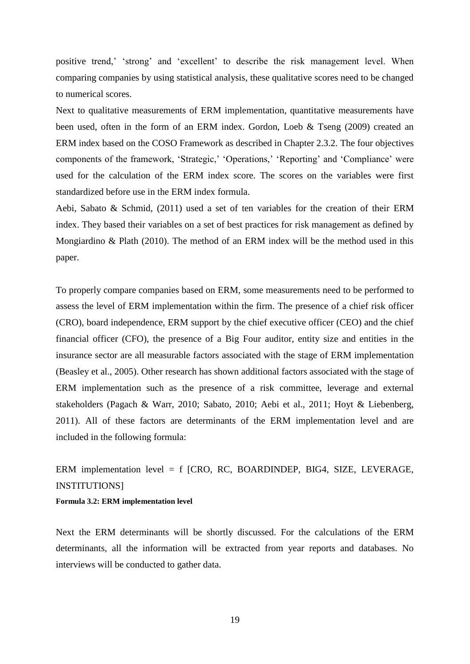positive trend,' 'strong' and 'excellent' to describe the risk management level. When comparing companies by using statistical analysis, these qualitative scores need to be changed to numerical scores.

Next to qualitative measurements of ERM implementation, quantitative measurements have been used, often in the form of an ERM index. Gordon, Loeb & Tseng (2009) created an ERM index based on the COSO Framework as described in Chapter 2.3.2. The four objectives components of the framework, 'Strategic,' 'Operations,' 'Reporting' and 'Compliance' were used for the calculation of the ERM index score. The scores on the variables were first standardized before use in the ERM index formula.

Aebi, Sabato & Schmid,  $(2011)$  used a set of ten variables for the creation of their ERM index. They based their variables on a set of best practices for risk management as defined by Mongiardino & Plath (2010). The method of an ERM index will be the method used in this paper.

To properly compare companies based on ERM, some measurements need to be performed to assess the level of ERM implementation within the firm. The presence of a chief risk officer (CRO), board independence, ERM support by the chief executive officer (CEO) and the chief financial officer (CFO), the presence of a Big Four auditor, entity size and entities in the insurance sector are all measurable factors associated with the stage of ERM implementation (Beasley et al., 2005). Other research has shown additional factors associated with the stage of ERM implementation such as the presence of a risk committee, leverage and external stakeholders (Pagach & Warr, 2010; Sabato, 2010; Aebi et al., 2011; Hoyt & Liebenberg, 2011). All of these factors are determinants of the ERM implementation level and are included in the following formula:

ERM implementation level = f [CRO, RC, BOARDINDEP, BIG4, SIZE, LEVERAGE, INSTITUTIONS]

**Formula 3.2: ERM implementation level**

Next the ERM determinants will be shortly discussed. For the calculations of the ERM determinants, all the information will be extracted from year reports and databases. No interviews will be conducted to gather data.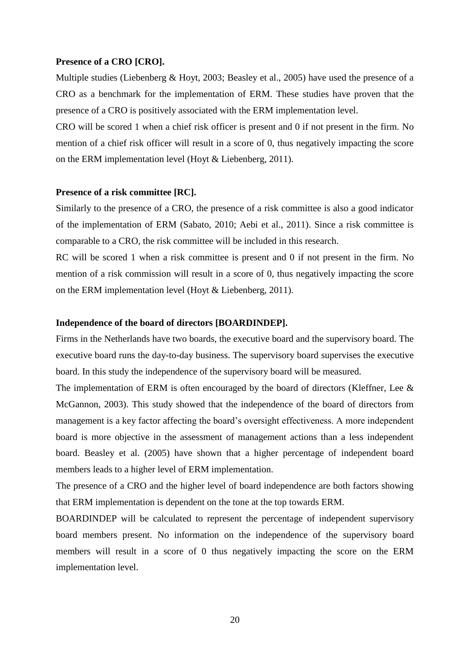# **Presence of a CRO [CRO].**

Multiple studies (Liebenberg & Hoyt, 2003; Beasley et al., 2005) have used the presence of a CRO as a benchmark for the implementation of ERM. These studies have proven that the presence of a CRO is positively associated with the ERM implementation level.

CRO will be scored 1 when a chief risk officer is present and 0 if not present in the firm. No mention of a chief risk officer will result in a score of 0, thus negatively impacting the score on the ERM implementation level (Hoyt & Liebenberg, 2011).

# **Presence of a risk committee [RC].**

Similarly to the presence of a CRO, the presence of a risk committee is also a good indicator of the implementation of ERM (Sabato, 2010; Aebi et al., 2011). Since a risk committee is comparable to a CRO, the risk committee will be included in this research.

RC will be scored 1 when a risk committee is present and 0 if not present in the firm. No mention of a risk commission will result in a score of 0, thus negatively impacting the score on the ERM implementation level (Hoyt & Liebenberg, 2011).

### **Independence of the board of directors [BOARDINDEP].**

Firms in the Netherlands have two boards, the executive board and the supervisory board. The executive board runs the day-to-day business. The supervisory board supervises the executive board. In this study the independence of the supervisory board will be measured.

The implementation of ERM is often encouraged by the board of directors (Kleffner, Lee & McGannon, 2003). This study showed that the independence of the board of directors from management is a key factor affecting the board's oversight effectiveness. A more independent board is more objective in the assessment of management actions than a less independent board. Beasley et al. (2005) have shown that a higher percentage of independent board members leads to a higher level of ERM implementation.

The presence of a CRO and the higher level of board independence are both factors showing that ERM implementation is dependent on the tone at the top towards ERM.

BOARDINDEP will be calculated to represent the percentage of independent supervisory board members present. No information on the independence of the supervisory board members will result in a score of 0 thus negatively impacting the score on the ERM implementation level.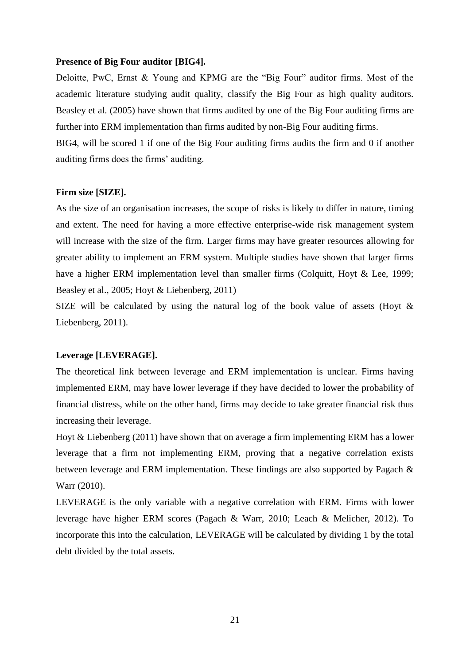## **Presence of Big Four auditor [BIG4].**

Deloitte, PwC, Ernst & Young and KPMG are the "Big Four" auditor firms. Most of the academic literature studying audit quality, classify the Big Four as high quality auditors. Beasley et al. (2005) have shown that firms audited by one of the Big Four auditing firms are further into ERM implementation than firms audited by non-Big Four auditing firms.

BIG4, will be scored 1 if one of the Big Four auditing firms audits the firm and 0 if another auditing firms does the firms' auditing.

# **Firm size [SIZE].**

As the size of an organisation increases, the scope of risks is likely to differ in nature, timing and extent. The need for having a more effective enterprise-wide risk management system will increase with the size of the firm. Larger firms may have greater resources allowing for greater ability to implement an ERM system. Multiple studies have shown that larger firms have a higher ERM implementation level than smaller firms (Colquitt, Hoyt & Lee, 1999; Beasley et al., 2005; Hoyt & Liebenberg, 2011)

SIZE will be calculated by using the natural log of the book value of assets (Hoyt & Liebenberg, 2011).

# **Leverage [LEVERAGE].**

The theoretical link between leverage and ERM implementation is unclear. Firms having implemented ERM, may have lower leverage if they have decided to lower the probability of financial distress, while on the other hand, firms may decide to take greater financial risk thus increasing their leverage.

Hoyt & Liebenberg (2011) have shown that on average a firm implementing ERM has a lower leverage that a firm not implementing ERM, proving that a negative correlation exists between leverage and ERM implementation. These findings are also supported by Pagach & Warr (2010).

LEVERAGE is the only variable with a negative correlation with ERM. Firms with lower leverage have higher ERM scores (Pagach & Warr, 2010; Leach & Melicher, 2012). To incorporate this into the calculation, LEVERAGE will be calculated by dividing 1 by the total debt divided by the total assets.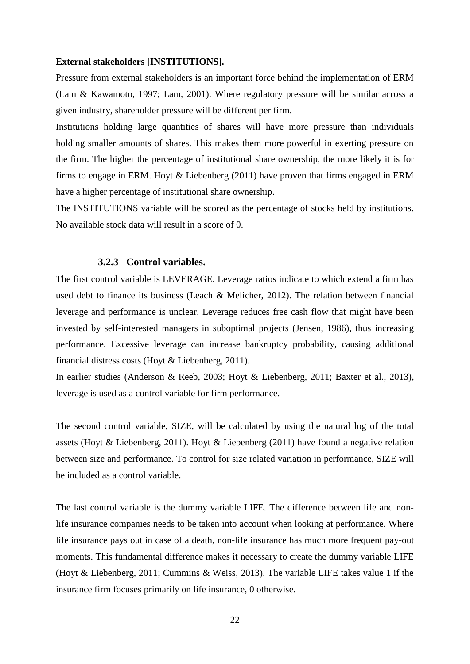### **External stakeholders [INSTITUTIONS].**

Pressure from external stakeholders is an important force behind the implementation of ERM (Lam & Kawamoto, 1997; Lam, 2001). Where regulatory pressure will be similar across a given industry, shareholder pressure will be different per firm.

Institutions holding large quantities of shares will have more pressure than individuals holding smaller amounts of shares. This makes them more powerful in exerting pressure on the firm. The higher the percentage of institutional share ownership, the more likely it is for firms to engage in ERM. Hoyt & Liebenberg (2011) have proven that firms engaged in ERM have a higher percentage of institutional share ownership.

The INSTITUTIONS variable will be scored as the percentage of stocks held by institutions. No available stock data will result in a score of 0.

### **3.2.3 Control variables.**

<span id="page-29-0"></span>The first control variable is LEVERAGE. Leverage ratios indicate to which extend a firm has used debt to finance its business (Leach & Melicher, 2012). The relation between financial leverage and performance is unclear. Leverage reduces free cash flow that might have been invested by self-interested managers in suboptimal projects (Jensen, 1986), thus increasing performance. Excessive leverage can increase bankruptcy probability, causing additional financial distress costs (Hoyt & Liebenberg, 2011).

In earlier studies (Anderson & Reeb, 2003; Hoyt & Liebenberg, 2011; Baxter et al., 2013), leverage is used as a control variable for firm performance.

The second control variable, SIZE, will be calculated by using the natural log of the total assets (Hoyt & Liebenberg, 2011). Hoyt & Liebenberg (2011) have found a negative relation between size and performance. To control for size related variation in performance, SIZE will be included as a control variable.

The last control variable is the dummy variable LIFE. The difference between life and nonlife insurance companies needs to be taken into account when looking at performance. Where life insurance pays out in case of a death, non-life insurance has much more frequent pay-out moments. This fundamental difference makes it necessary to create the dummy variable LIFE (Hoyt & Liebenberg, 2011; Cummins & Weiss, 2013). The variable LIFE takes value 1 if the insurance firm focuses primarily on life insurance, 0 otherwise.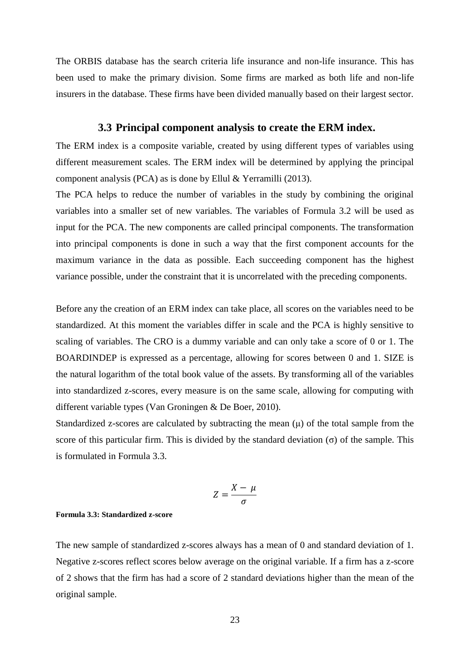The ORBIS database has the search criteria life insurance and non-life insurance. This has been used to make the primary division. Some firms are marked as both life and non-life insurers in the database. These firms have been divided manually based on their largest sector.

# **3.3 Principal component analysis to create the ERM index.**

<span id="page-30-0"></span>The ERM index is a composite variable, created by using different types of variables using different measurement scales. The ERM index will be determined by applying the principal component analysis (PCA) as is done by Ellul & Yerramilli (2013).

The PCA helps to reduce the number of variables in the study by combining the original variables into a smaller set of new variables. The variables of Formula 3.2 will be used as input for the PCA. The new components are called principal components. The transformation into principal components is done in such a way that the first component accounts for the maximum variance in the data as possible. Each succeeding component has the highest variance possible, under the constraint that it is uncorrelated with the preceding components.

Before any the creation of an ERM index can take place, all scores on the variables need to be standardized. At this moment the variables differ in scale and the PCA is highly sensitive to scaling of variables. The CRO is a dummy variable and can only take a score of 0 or 1. The BOARDINDEP is expressed as a percentage, allowing for scores between 0 and 1. SIZE is the natural logarithm of the total book value of the assets. By transforming all of the variables into standardized z-scores, every measure is on the same scale, allowing for computing with different variable types (Van Groningen & De Boer, 2010).

Standardized z-scores are calculated by subtracting the mean (μ) of the total sample from the score of this particular firm. This is divided by the standard deviation ( $\sigma$ ) of the sample. This is formulated in Formula 3.3.

$$
Z=\frac{X-\mu}{\sigma}
$$

# **Formula 3.3: Standardized z-score**

The new sample of standardized z-scores always has a mean of 0 and standard deviation of 1. Negative z-scores reflect scores below average on the original variable. If a firm has a z-score of 2 shows that the firm has had a score of 2 standard deviations higher than the mean of the original sample.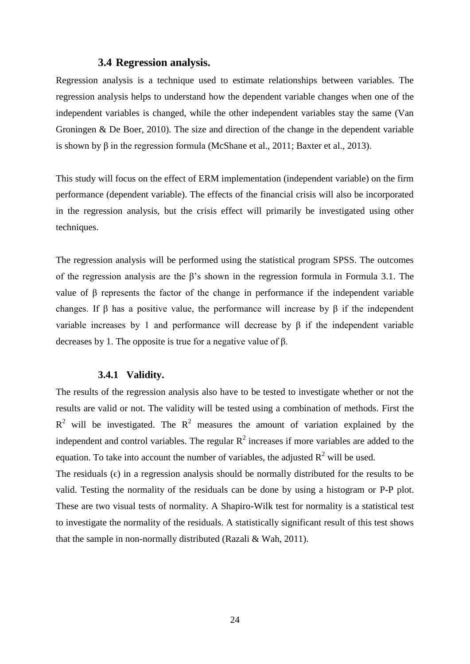# **3.4 Regression analysis.**

<span id="page-31-0"></span>Regression analysis is a technique used to estimate relationships between variables. The regression analysis helps to understand how the dependent variable changes when one of the independent variables is changed, while the other independent variables stay the same (Van Groningen & De Boer, 2010). The size and direction of the change in the dependent variable is shown by  $\beta$  in the regression formula (McShane et al., 2011; Baxter et al., 2013).

This study will focus on the effect of ERM implementation (independent variable) on the firm performance (dependent variable). The effects of the financial crisis will also be incorporated in the regression analysis, but the crisis effect will primarily be investigated using other techniques.

The regression analysis will be performed using the statistical program SPSS. The outcomes of the regression analysis are the β's shown in the regression formula in Formula 3.1. The value of β represents the factor of the change in performance if the independent variable changes. If  $\beta$  has a positive value, the performance will increase by  $\beta$  if the independent variable increases by 1 and performance will decrease by β if the independent variable decreases by 1. The opposite is true for a negative value of β.

# **3.4.1 Validity.**

<span id="page-31-1"></span>The results of the regression analysis also have to be tested to investigate whether or not the results are valid or not. The validity will be tested using a combination of methods. First the  $R^2$  will be investigated. The  $R^2$  measures the amount of variation explained by the independent and control variables. The regular  $R^2$  increases if more variables are added to the equation. To take into account the number of variables, the adjusted  $R^2$  will be used.

The residuals  $(\epsilon)$  in a regression analysis should be normally distributed for the results to be valid. Testing the normality of the residuals can be done by using a histogram or P-P plot. These are two visual tests of normality. A Shapiro-Wilk test for normality is a statistical test to investigate the normality of the residuals. A statistically significant result of this test shows that the sample in non-normally distributed (Razali & Wah, 2011).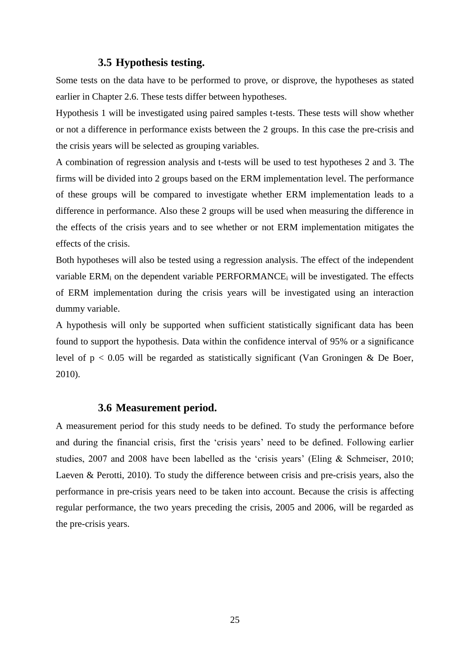# **3.5 Hypothesis testing.**

<span id="page-32-0"></span>Some tests on the data have to be performed to prove, or disprove, the hypotheses as stated earlier in Chapter 2.6. These tests differ between hypotheses.

Hypothesis 1 will be investigated using paired samples t-tests. These tests will show whether or not a difference in performance exists between the 2 groups. In this case the pre-crisis and the crisis years will be selected as grouping variables.

A combination of regression analysis and t-tests will be used to test hypotheses 2 and 3. The firms will be divided into 2 groups based on the ERM implementation level. The performance of these groups will be compared to investigate whether ERM implementation leads to a difference in performance. Also these 2 groups will be used when measuring the difference in the effects of the crisis years and to see whether or not ERM implementation mitigates the effects of the crisis.

Both hypotheses will also be tested using a regression analysis. The effect of the independent variable  $ERM<sub>i</sub>$  on the dependent variable  $PERFORMANCE<sub>i</sub>$  will be investigated. The effects of ERM implementation during the crisis years will be investigated using an interaction dummy variable.

A hypothesis will only be supported when sufficient statistically significant data has been found to support the hypothesis. Data within the confidence interval of 95% or a significance level of  $p < 0.05$  will be regarded as statistically significant (Van Groningen & De Boer, 2010).

# **3.6 Measurement period.**

<span id="page-32-1"></span>A measurement period for this study needs to be defined. To study the performance before and during the financial crisis, first the 'crisis years' need to be defined. Following earlier studies, 2007 and 2008 have been labelled as the 'crisis years' (Eling  $\&$  Schmeiser, 2010; Laeven & Perotti, 2010). To study the difference between crisis and pre-crisis years, also the performance in pre-crisis years need to be taken into account. Because the crisis is affecting regular performance, the two years preceding the crisis, 2005 and 2006, will be regarded as the pre-crisis years.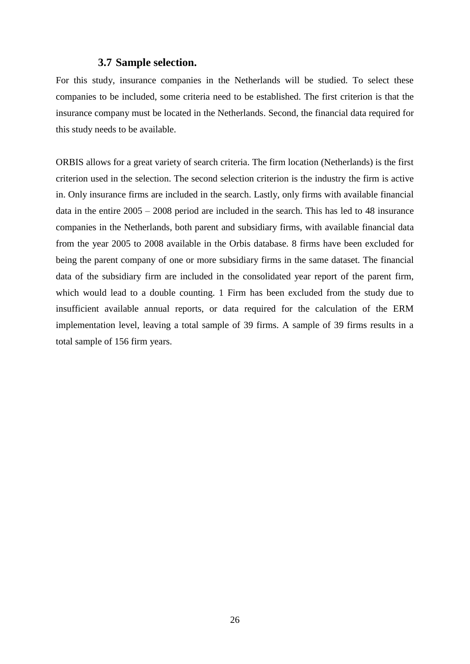# **3.7 Sample selection.**

<span id="page-33-0"></span>For this study, insurance companies in the Netherlands will be studied. To select these companies to be included, some criteria need to be established. The first criterion is that the insurance company must be located in the Netherlands. Second, the financial data required for this study needs to be available.

ORBIS allows for a great variety of search criteria. The firm location (Netherlands) is the first criterion used in the selection. The second selection criterion is the industry the firm is active in. Only insurance firms are included in the search. Lastly, only firms with available financial data in the entire 2005 – 2008 period are included in the search. This has led to 48 insurance companies in the Netherlands, both parent and subsidiary firms, with available financial data from the year 2005 to 2008 available in the Orbis database. 8 firms have been excluded for being the parent company of one or more subsidiary firms in the same dataset. The financial data of the subsidiary firm are included in the consolidated year report of the parent firm, which would lead to a double counting. 1 Firm has been excluded from the study due to insufficient available annual reports, or data required for the calculation of the ERM implementation level, leaving a total sample of 39 firms. A sample of 39 firms results in a total sample of 156 firm years.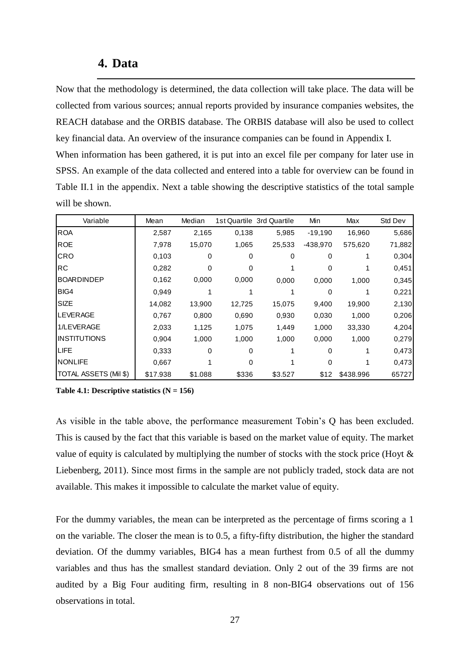# **4. Data**

<span id="page-34-0"></span>Now that the methodology is determined, the data collection will take place. The data will be collected from various sources; annual reports provided by insurance companies websites, the REACH database and the ORBIS database. The ORBIS database will also be used to collect key financial data. An overview of the insurance companies can be found in Appendix I. When information has been gathered, it is put into an excel file per company for later use in SPSS. An example of the data collected and entered into a table for overview can be found in Table II.1 in the appendix. Next a table showing the descriptive statistics of the total sample will be shown.

| Variable              | Mean     | Median  |          | 1st Quartile 3rd Quartile | Min        | Max       | Std Dev |
|-----------------------|----------|---------|----------|---------------------------|------------|-----------|---------|
| <b>ROA</b>            | 2,587    | 2,165   | 0,138    | 5,985                     | $-19,190$  | 16,960    | 5,686   |
| <b>ROE</b>            | 7,978    | 15,070  | 1,065    | 25,533                    | $-438,970$ | 575,620   | 71,882  |
| CRO                   | 0.103    | 0       | $\Omega$ | 0                         | 0          |           | 0,304   |
| RC                    | 0,282    | 0       | $\Omega$ |                           | 0          |           | 0,451   |
| <b>BOARDINDEP</b>     | 0,162    | 0,000   | 0,000    | 0,000                     | 0,000      | 1,000     | 0,345   |
| BIG4                  | 0,949    |         |          |                           | $\Omega$   |           | 0,221   |
| <b>SIZE</b>           | 14,082   | 13,900  | 12,725   | 15,075                    | 9,400      | 19,900    | 2,130   |
| <b>LEVERAGE</b>       | 0,767    | 0,800   | 0,690    | 0,930                     | 0,030      | 1,000     | 0,206   |
| 1/LEVERAGE            | 2,033    | 1,125   | 1,075    | 1,449                     | 1,000      | 33,330    | 4,204   |
| <b>INSTITUTIONS</b>   | 0,904    | 1,000   | 1,000    | 1,000                     | 0,000      | 1,000     | 0,279   |
| <b>LIFE</b>           | 0,333    | 0       | $\Omega$ |                           | $\Omega$   |           | 0,473   |
| <b>NONLIFE</b>        | 0,667    |         | $\Omega$ |                           | 0          |           | 0,473   |
| TOTAL ASSETS (Mil \$) | \$17.938 | \$1.088 | \$336    | \$3.527                   | \$12       | \$438.996 | 65727   |

**Table 4.1: Descriptive statistics (N = 156)**

As visible in the table above, the performance measurement Tobin's Q has been excluded. This is caused by the fact that this variable is based on the market value of equity. The market value of equity is calculated by multiplying the number of stocks with the stock price (Hoyt  $\&$ Liebenberg, 2011). Since most firms in the sample are not publicly traded, stock data are not available. This makes it impossible to calculate the market value of equity.

For the dummy variables, the mean can be interpreted as the percentage of firms scoring a 1 on the variable. The closer the mean is to 0.5, a fifty-fifty distribution, the higher the standard deviation. Of the dummy variables, BIG4 has a mean furthest from 0.5 of all the dummy variables and thus has the smallest standard deviation. Only 2 out of the 39 firms are not audited by a Big Four auditing firm, resulting in 8 non-BIG4 observations out of 156 observations in total.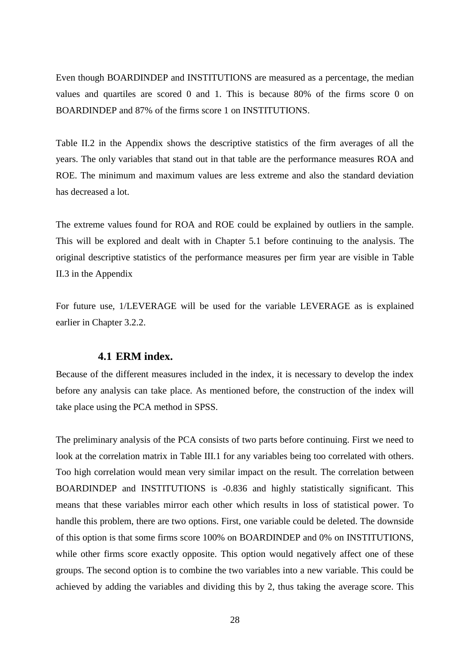Even though BOARDINDEP and INSTITUTIONS are measured as a percentage, the median values and quartiles are scored 0 and 1. This is because 80% of the firms score 0 on BOARDINDEP and 87% of the firms score 1 on INSTITUTIONS.

Table II.2 in the Appendix shows the descriptive statistics of the firm averages of all the years. The only variables that stand out in that table are the performance measures ROA and ROE. The minimum and maximum values are less extreme and also the standard deviation has decreased a lot.

The extreme values found for ROA and ROE could be explained by outliers in the sample. This will be explored and dealt with in Chapter 5.1 before continuing to the analysis. The original descriptive statistics of the performance measures per firm year are visible in Table II.3 in the Appendix

For future use, 1/LEVERAGE will be used for the variable LEVERAGE as is explained earlier in Chapter 3.2.2.

# **4.1 ERM index.**

<span id="page-35-0"></span>Because of the different measures included in the index, it is necessary to develop the index before any analysis can take place. As mentioned before, the construction of the index will take place using the PCA method in SPSS.

The preliminary analysis of the PCA consists of two parts before continuing. First we need to look at the correlation matrix in Table III.1 for any variables being too correlated with others. Too high correlation would mean very similar impact on the result. The correlation between BOARDINDEP and INSTITUTIONS is -0.836 and highly statistically significant. This means that these variables mirror each other which results in loss of statistical power. To handle this problem, there are two options. First, one variable could be deleted. The downside of this option is that some firms score 100% on BOARDINDEP and 0% on INSTITUTIONS, while other firms score exactly opposite. This option would negatively affect one of these groups. The second option is to combine the two variables into a new variable. This could be achieved by adding the variables and dividing this by 2, thus taking the average score. This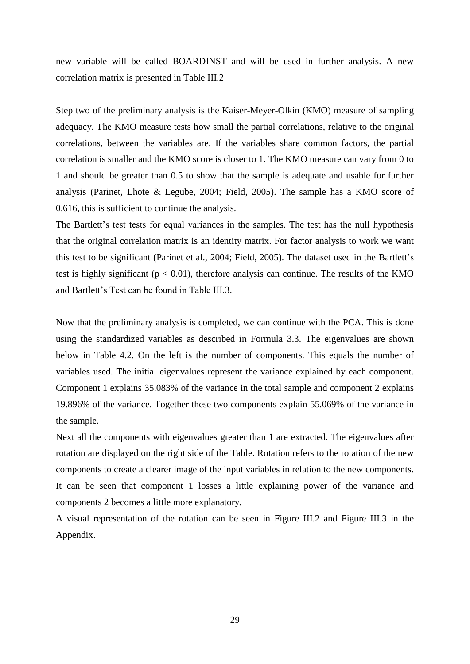new variable will be called BOARDINST and will be used in further analysis. A new correlation matrix is presented in Table III.2

Step two of the preliminary analysis is the Kaiser-Meyer-Olkin (KMO) measure of sampling adequacy. The KMO measure tests how small the partial correlations, relative to the original correlations, between the variables are. If the variables share common factors, the partial correlation is smaller and the KMO score is closer to 1. The KMO measure can vary from 0 to 1 and should be greater than 0.5 to show that the sample is adequate and usable for further analysis (Parinet, Lhote & Legube, 2004; Field, 2005). The sample has a KMO score of 0.616, this is sufficient to continue the analysis.

The Bartlett's test tests for equal variances in the samples. The test has the null hypothesis that the original correlation matrix is an identity matrix. For factor analysis to work we want this test to be significant (Parinet et al., 2004; Field, 2005). The dataset used in the Bartlett's test is highly significant ( $p < 0.01$ ), therefore analysis can continue. The results of the KMO and Bartlett's Test can be found in Table III.3.

Now that the preliminary analysis is completed, we can continue with the PCA. This is done using the standardized variables as described in Formula 3.3. The eigenvalues are shown below in Table 4.2. On the left is the number of components. This equals the number of variables used. The initial eigenvalues represent the variance explained by each component. Component 1 explains 35.083% of the variance in the total sample and component 2 explains 19.896% of the variance. Together these two components explain 55.069% of the variance in the sample.

Next all the components with eigenvalues greater than 1 are extracted. The eigenvalues after rotation are displayed on the right side of the Table. Rotation refers to the rotation of the new components to create a clearer image of the input variables in relation to the new components. It can be seen that component 1 losses a little explaining power of the variance and components 2 becomes a little more explanatory.

A visual representation of the rotation can be seen in Figure III.2 and Figure III.3 in the Appendix.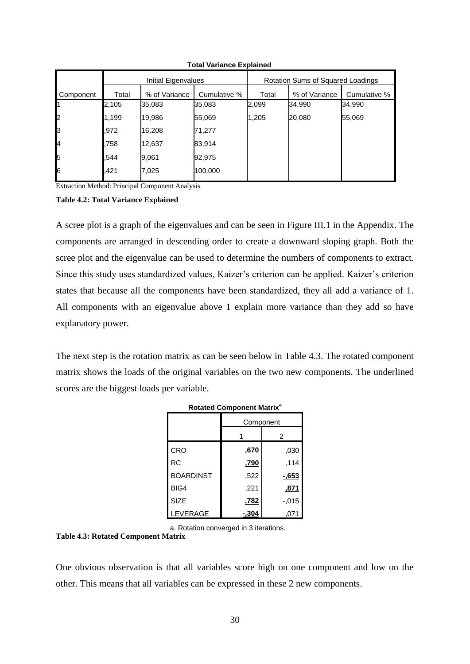|           |       | Initial Eigenvalues |              | Rotation Sums of Squared Loadings |               |              |  |
|-----------|-------|---------------------|--------------|-----------------------------------|---------------|--------------|--|
| Component | Total | % of Variance       | Cumulative % | Total                             | % of Variance | Cumulative % |  |
|           | 2,105 | 35,083              | 35,083       | 2,099                             | 34,990        | 34,990       |  |
| 2         | 1,199 | 19,986              | 55,069       | 1,205                             | 20,080        | 55,069       |  |
| Iз        | .972  | 16,208              | 71,277       |                                   |               |              |  |
| 4         | .758  | 12,637              | 83,914       |                                   |               |              |  |
| 5         | .544  | 9,061               | 92,975       |                                   |               |              |  |
| 6         | .421  | 7,025               | 100,000      |                                   |               |              |  |

 **Total Variance Explained**

Extraction Method: Principal Component Analysis.

#### **Table 4.2: Total Variance Explained**

A scree plot is a graph of the eigenvalues and can be seen in Figure III.1 in the Appendix. The components are arranged in descending order to create a downward sloping graph. Both the scree plot and the eigenvalue can be used to determine the numbers of components to extract. Since this study uses standardized values, Kaizer's criterion can be applied. Kaizer's criterion states that because all the components have been standardized, they all add a variance of 1. All components with an eigenvalue above 1 explain more variance than they add so have explanatory power.

The next step is the rotation matrix as can be seen below in Table 4.3. The rotated component matrix shows the loads of the original variables on the two new components. The underlined scores are the biggest loads per variable.

|                  | Rotated Component Matrix |          |
|------------------|--------------------------|----------|
|                  | Component                |          |
|                  |                          | 2        |
| CRO              | ,670                     | .030     |
| <b>RC</b>        | <u>.790</u>              | .114     |
| <b>BOARDINST</b> | ,522                     | $-653$   |
| BIG4             | ,221                     | ,871     |
| <b>SIZE</b>      | ,782                     | $-0.015$ |
| LEVERAGE         | $-304$                   | .071     |

**Rotated Component Matrix<sup>a</sup>**

a. Rotation converged in 3 iterations.

#### **Table 4.3: Rotated Component Matrix**

One obvious observation is that all variables score high on one component and low on the other. This means that all variables can be expressed in these 2 new components.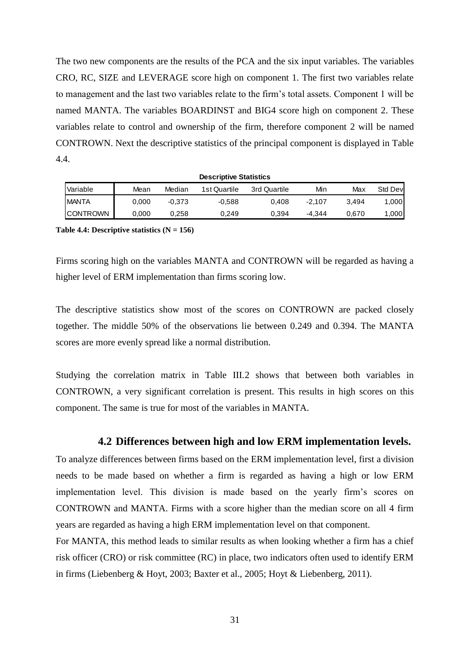The two new components are the results of the PCA and the six input variables. The variables CRO, RC, SIZE and LEVERAGE score high on component 1. The first two variables relate to management and the last two variables relate to the firm's total assets. Component 1 will be named MANTA. The variables BOARDINST and BIG4 score high on component 2. These variables relate to control and ownership of the firm, therefore component 2 will be named CONTROWN. Next the descriptive statistics of the principal component is displayed in Table 4.4.

|                 |       |        | <b>Descriptive Statistics</b> |              |        |       |         |
|-----------------|-------|--------|-------------------------------|--------------|--------|-------|---------|
| Variable        | Mean  | Median | 1st Quartile                  | 3rd Quartile | Min    | Max   | Std Dev |
| <b>IMANTA</b>   | 0.000 | -0.373 | $-0.588$                      | 0.408        | -2.107 | 3.494 | 1,000   |
| <b>CONTROWN</b> | 0,000 | 0.258  | 0.249                         | 0.394        | -4.344 | 0.670 | ,000    |

#### **Table 4.4: Descriptive statistics (N = 156)**

Firms scoring high on the variables MANTA and CONTROWN will be regarded as having a higher level of ERM implementation than firms scoring low.

The descriptive statistics show most of the scores on CONTROWN are packed closely together. The middle 50% of the observations lie between 0.249 and 0.394. The MANTA scores are more evenly spread like a normal distribution.

Studying the correlation matrix in Table III.2 shows that between both variables in CONTROWN, a very significant correlation is present. This results in high scores on this component. The same is true for most of the variables in MANTA.

#### **4.2 Differences between high and low ERM implementation levels.**

To analyze differences between firms based on the ERM implementation level, first a division needs to be made based on whether a firm is regarded as having a high or low ERM implementation level. This division is made based on the yearly firm's scores on CONTROWN and MANTA. Firms with a score higher than the median score on all 4 firm years are regarded as having a high ERM implementation level on that component.

For MANTA, this method leads to similar results as when looking whether a firm has a chief risk officer (CRO) or risk committee (RC) in place, two indicators often used to identify ERM in firms (Liebenberg & Hoyt, 2003; Baxter et al., 2005; Hoyt & Liebenberg, 2011).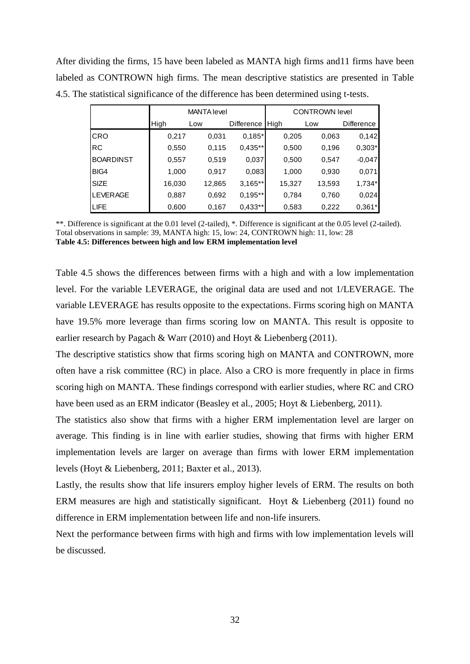After dividing the firms, 15 have been labeled as MANTA high firms and11 firms have been labeled as CONTROWN high firms. The mean descriptive statistics are presented in Table 4.5. The statistical significance of the difference has been determined using t-tests.

|                  |        | <b>MANTA level</b> |            | <b>CONTROWN level</b> |        |                   |  |
|------------------|--------|--------------------|------------|-----------------------|--------|-------------------|--|
|                  | High   | Low                | Difference | High                  | Low    | <b>Difference</b> |  |
| CRO              | 0,217  | 0,031              | $0,185*$   | 0,205                 | 0,063  | 0,142             |  |
| RC               | 0,550  | 0,115              | $0,435**$  | 0,500                 | 0,196  | $0,303*$          |  |
| <b>BOARDINST</b> | 0,557  | 0,519              | 0,037      | 0,500                 | 0,547  | $-0,047$          |  |
| BIG4             | 1,000  | 0,917              | 0,083      | 1,000                 | 0,930  | 0,071             |  |
| <b>SIZE</b>      | 16,030 | 12,865             | $3,165**$  | 15,327                | 13,593 | $1,734*$          |  |
| <b>LEVERAGE</b>  | 0,887  | 0,692              | $0,195**$  | 0,784                 | 0,760  | 0,024             |  |
| <b>LIFE</b>      | 0,600  | 0,167              | $0,433**$  | 0,583                 | 0,222  | $0,361*$          |  |

\*\*. Difference is significant at the 0.01 level (2-tailed), \*. Difference is significant at the 0.05 level (2-tailed). Total observations in sample: 39, MANTA high: 15, low: 24, CONTROWN high: 11, low: 28 **Table 4.5: Differences between high and low ERM implementation level**

Table 4.5 shows the differences between firms with a high and with a low implementation level. For the variable LEVERAGE, the original data are used and not 1/LEVERAGE. The variable LEVERAGE has results opposite to the expectations. Firms scoring high on MANTA have 19.5% more leverage than firms scoring low on MANTA. This result is opposite to earlier research by Pagach & Warr (2010) and Hoyt & Liebenberg (2011).

The descriptive statistics show that firms scoring high on MANTA and CONTROWN, more often have a risk committee (RC) in place. Also a CRO is more frequently in place in firms scoring high on MANTA. These findings correspond with earlier studies, where RC and CRO have been used as an ERM indicator (Beasley et al., 2005; Hoyt & Liebenberg, 2011).

The statistics also show that firms with a higher ERM implementation level are larger on average. This finding is in line with earlier studies, showing that firms with higher ERM implementation levels are larger on average than firms with lower ERM implementation levels (Hoyt & Liebenberg, 2011; Baxter et al., 2013).

Lastly, the results show that life insurers employ higher levels of ERM. The results on both ERM measures are high and statistically significant. Hoyt & Liebenberg (2011) found no difference in ERM implementation between life and non-life insurers.

Next the performance between firms with high and firms with low implementation levels will be discussed.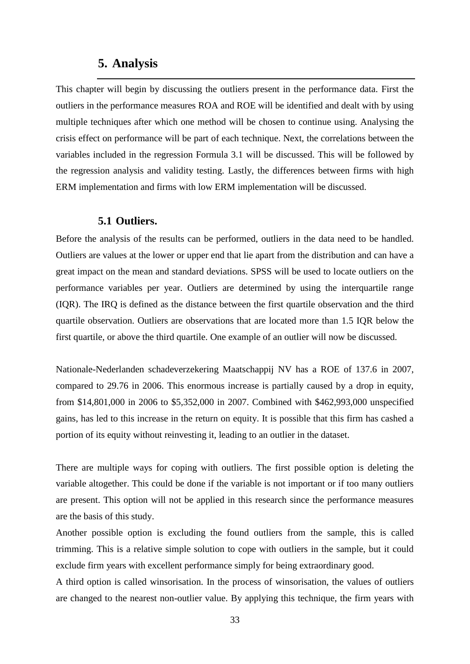# **5. Analysis**

This chapter will begin by discussing the outliers present in the performance data. First the outliers in the performance measures ROA and ROE will be identified and dealt with by using multiple techniques after which one method will be chosen to continue using. Analysing the crisis effect on performance will be part of each technique. Next, the correlations between the variables included in the regression Formula 3.1 will be discussed. This will be followed by the regression analysis and validity testing. Lastly, the differences between firms with high ERM implementation and firms with low ERM implementation will be discussed.

## **5.1 Outliers.**

Before the analysis of the results can be performed, outliers in the data need to be handled. Outliers are values at the lower or upper end that lie apart from the distribution and can have a great impact on the mean and standard deviations. SPSS will be used to locate outliers on the performance variables per year. Outliers are determined by using the interquartile range (IQR). The IRQ is defined as the distance between the first quartile observation and the third quartile observation. Outliers are observations that are located more than 1.5 IQR below the first quartile, or above the third quartile. One example of an outlier will now be discussed.

Nationale-Nederlanden schadeverzekering Maatschappij NV has a ROE of 137.6 in 2007, compared to 29.76 in 2006. This enormous increase is partially caused by a drop in equity, from \$14,801,000 in 2006 to \$5,352,000 in 2007. Combined with \$462,993,000 unspecified gains, has led to this increase in the return on equity. It is possible that this firm has cashed a portion of its equity without reinvesting it, leading to an outlier in the dataset.

There are multiple ways for coping with outliers. The first possible option is deleting the variable altogether. This could be done if the variable is not important or if too many outliers are present. This option will not be applied in this research since the performance measures are the basis of this study.

Another possible option is excluding the found outliers from the sample, this is called trimming. This is a relative simple solution to cope with outliers in the sample, but it could exclude firm years with excellent performance simply for being extraordinary good.

A third option is called winsorisation. In the process of winsorisation, the values of outliers are changed to the nearest non-outlier value. By applying this technique, the firm years with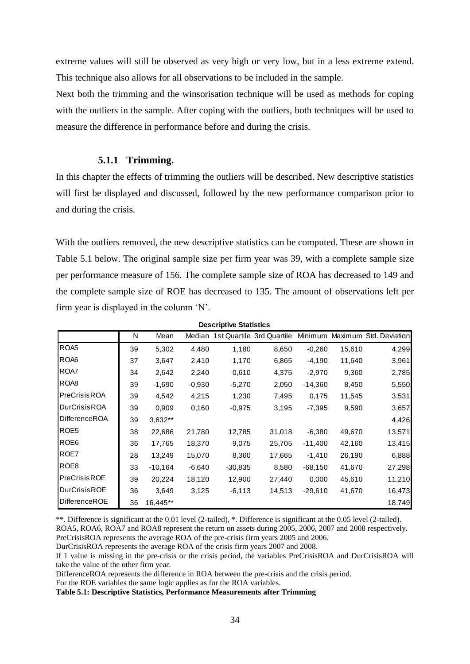extreme values will still be observed as very high or very low, but in a less extreme extend. This technique also allows for all observations to be included in the sample.

Next both the trimming and the winsorisation technique will be used as methods for coping with the outliers in the sample. After coping with the outliers, both techniques will be used to measure the difference in performance before and during the crisis.

### **5.1.1 Trimming.**

In this chapter the effects of trimming the outliers will be described. New descriptive statistics will first be displayed and discussed, followed by the new performance comparison prior to and during the crisis.

With the outliers removed, the new descriptive statistics can be computed. These are shown in Table 5.1 below. The original sample size per firm year was 39, with a complete sample size per performance measure of 156. The complete sample size of ROA has decreased to 149 and the complete sample size of ROE has decreased to 135. The amount of observations left per firm year is displayed in the column  $'N'$ .

|                      |    |           |          | <b>Descriptive Statistics</b> |                                  |           |        |                        |
|----------------------|----|-----------|----------|-------------------------------|----------------------------------|-----------|--------|------------------------|
|                      | N  | Mean      |          |                               | Median 1st Quartile 3rd Quartile | Minimum   |        | Maximum Std. Deviation |
| ROA5                 | 39 | 5,302     | 4,480    | 1,180                         | 8,650                            | $-0.260$  | 15,610 | 4,299                  |
| ROA6                 | 37 | 3,647     | 2,410    | 1,170                         | 6,865                            | $-4,190$  | 11,640 | 3,961                  |
| ROA7                 | 34 | 2,642     | 2,240    | 0,610                         | 4,375                            | $-2,970$  | 9,360  | 2,785                  |
| ROA8                 | 39 | $-1,690$  | $-0.930$ | $-5,270$                      | 2,050                            | $-14,360$ | 8,450  | 5,550                  |
| <b>PreCrisisROA</b>  | 39 | 4,542     | 4,215    | 1,230                         | 7,495                            | 0,175     | 11,545 | 3,531                  |
| <b>DurCrisisROA</b>  | 39 | 0,909     | 0,160    | $-0.975$                      | 3,195                            | $-7,395$  | 9,590  | 3,657                  |
| DifferenceROA        | 39 | $3,632**$ |          |                               |                                  |           |        | 4,426                  |
| ROE <sub>5</sub>     | 38 | 22,686    | 21,780   | 12,785                        | 31,018                           | $-6,380$  | 49,670 | 13,571                 |
| ROE <sub>6</sub>     | 36 | 17,765    | 18,370   | 9,075                         | 25,705                           | $-11,400$ | 42,160 | 13,415                 |
| ROE7                 | 28 | 13,249    | 15,070   | 8,360                         | 17,665                           | $-1,410$  | 26,190 | 6,888                  |
| ROE <sub>8</sub>     | 33 | $-10,164$ | $-6,640$ | $-30,835$                     | 8,580                            | $-68,150$ | 41,670 | 27,298                 |
| <b>PreCrisisROE</b>  | 39 | 20,224    | 18,120   | 12,900                        | 27,440                           | 0,000     | 45,610 | 11,210                 |
| <b>DurCrisisROE</b>  | 36 | 3,649     | 3,125    | $-6,113$                      | 14,513                           | $-29,610$ | 41,670 | 16,473                 |
| <b>DifferenceROE</b> | 36 | 16,445**  |          |                               |                                  |           |        | 18,749                 |

**Descriptive Statistics**

\*\*. Difference is significant at the 0.01 level (2-tailed), \*. Difference is significant at the 0.05 level (2-tailed). ROA5, ROA6, ROA7 and ROA8 represent the return on assets during 2005, 2006, 2007 and 2008 respectively.

PreCrisisROA represents the average ROA of the pre-crisis firm years 2005 and 2006.

DurCrisisROA represents the average ROA of the crisis firm years 2007 and 2008.

If 1 value is missing in the pre-crisis or the crisis period, the variables PreCrisisROA and DurCrisisROA will take the value of the other firm year.

DifferenceROA represents the difference in ROA between the pre-crisis and the crisis period.

For the ROE variables the same logic applies as for the ROA variables.

**Table 5.1: Descriptive Statistics, Performance Measurements after Trimming**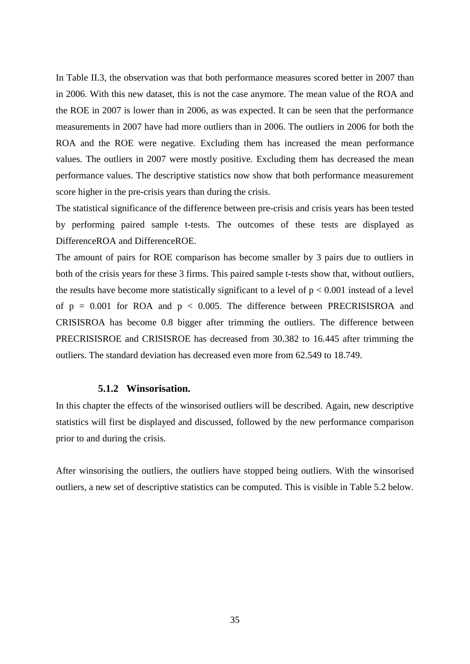In Table II.3, the observation was that both performance measures scored better in 2007 than in 2006. With this new dataset, this is not the case anymore. The mean value of the ROA and the ROE in 2007 is lower than in 2006, as was expected. It can be seen that the performance measurements in 2007 have had more outliers than in 2006. The outliers in 2006 for both the ROA and the ROE were negative. Excluding them has increased the mean performance values. The outliers in 2007 were mostly positive. Excluding them has decreased the mean performance values. The descriptive statistics now show that both performance measurement score higher in the pre-crisis years than during the crisis.

The statistical significance of the difference between pre-crisis and crisis years has been tested by performing paired sample t-tests. The outcomes of these tests are displayed as DifferenceROA and DifferenceROE.

The amount of pairs for ROE comparison has become smaller by 3 pairs due to outliers in both of the crisis years for these 3 firms. This paired sample t-tests show that, without outliers, the results have become more statistically significant to a level of  $p < 0.001$  instead of a level of  $p = 0.001$  for ROA and  $p < 0.005$ . The difference between PRECRISISROA and CRISISROA has become 0.8 bigger after trimming the outliers. The difference between PRECRISISROE and CRISISROE has decreased from 30.382 to 16.445 after trimming the outliers. The standard deviation has decreased even more from 62.549 to 18.749.

#### **5.1.2 Winsorisation.**

In this chapter the effects of the winsorised outliers will be described. Again, new descriptive statistics will first be displayed and discussed, followed by the new performance comparison prior to and during the crisis.

After winsorising the outliers, the outliers have stopped being outliers. With the winsorised outliers, a new set of descriptive statistics can be computed. This is visible in Table 5.2 below.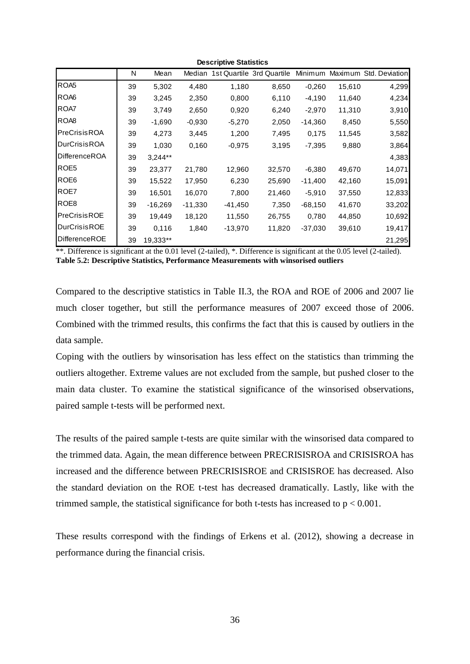|                                                |    |           |           | <b>Descriptive Statistics</b> |                                                                                                                         |           |        |                        |
|------------------------------------------------|----|-----------|-----------|-------------------------------|-------------------------------------------------------------------------------------------------------------------------|-----------|--------|------------------------|
|                                                | N  | Mean      | Median    |                               | 1st Quartile 3rd Quartile                                                                                               | Minimum   |        | Maximum Std. Deviation |
| ROA5                                           | 39 | 5,302     | 4,480     | 1,180                         | 8,650                                                                                                                   | $-0.260$  | 15,610 | 4,299                  |
| ROA6                                           | 39 | 3,245     | 2,350     | 0,800                         | 6,110                                                                                                                   | $-4,190$  | 11,640 | 4,234                  |
| ROA7                                           | 39 | 3,749     | 2,650     | 0,920                         | 6,240                                                                                                                   | $-2,970$  | 11,310 | 3,910                  |
| ROA <sub>8</sub>                               | 39 | $-1,690$  | $-0,930$  | $-5,270$                      | 2,050                                                                                                                   | $-14,360$ | 8,450  | 5,550                  |
| <b>PreCrisisROA</b>                            | 39 | 4,273     | 3,445     | 1,200                         | 7,495                                                                                                                   | 0,175     | 11,545 | 3,582                  |
| <b>DurCrisisROA</b>                            | 39 | 1,030     | 0,160     | $-0.975$                      | 3,195                                                                                                                   | $-7,395$  | 9,880  | 3,864                  |
| <b>DifferenceROA</b>                           | 39 | $3,244**$ |           |                               |                                                                                                                         |           |        | 4,383                  |
| ROE <sub>5</sub>                               | 39 | 23,377    | 21,780    | 12,960                        | 32,570                                                                                                                  | $-6,380$  | 49,670 | 14,071                 |
| ROE <sub>6</sub>                               | 39 | 15,522    | 17,950    | 6,230                         | 25,690                                                                                                                  | $-11,400$ | 42,160 | 15,091                 |
| ROE7                                           | 39 | 16,501    | 16,070    | 7,800                         | 21,460                                                                                                                  | $-5,910$  | 37,550 | 12,833                 |
| ROE <sub>8</sub>                               | 39 | $-16,269$ | $-11,330$ | $-41,450$                     | 7,350                                                                                                                   | $-68,150$ | 41,670 | 33,202                 |
| <b>PreCrisisROE</b>                            | 39 | 19,449    | 18,120    | 11,550                        | 26,755                                                                                                                  | 0,780     | 44,850 | 10,692                 |
| <b>DurCrisisROE</b>                            | 39 | 0,116     | 1,840     | $-13,970$                     | 11,820                                                                                                                  | $-37,030$ | 39,610 | 19,417                 |
| <b>DifferenceROE</b><br>$*$ $*$ $\blacksquare$ | 39 | 19,333**  |           |                               | $\mathcal{L}(\mathcal{L}_{i})$ and at the 0.01 level (0.4.1.4) $\ast$ Difference is similar to the 0.05 level (0.4.1.4) |           |        | 21,295                 |

\*\*. Difference is significant at the 0.01 level (2-tailed), \*. Difference is significant at the 0.05 level (2-tailed).

**Table 5.2: Descriptive Statistics, Performance Measurements with winsorised outliers**

Compared to the descriptive statistics in Table II.3, the ROA and ROE of 2006 and 2007 lie much closer together, but still the performance measures of 2007 exceed those of 2006. Combined with the trimmed results, this confirms the fact that this is caused by outliers in the data sample.

Coping with the outliers by winsorisation has less effect on the statistics than trimming the outliers altogether. Extreme values are not excluded from the sample, but pushed closer to the main data cluster. To examine the statistical significance of the winsorised observations, paired sample t-tests will be performed next.

The results of the paired sample t-tests are quite similar with the winsorised data compared to the trimmed data. Again, the mean difference between PRECRISISROA and CRISISROA has increased and the difference between PRECRISISROE and CRISISROE has decreased. Also the standard deviation on the ROE t-test has decreased dramatically. Lastly, like with the trimmed sample, the statistical significance for both t-tests has increased to  $p < 0.001$ .

These results correspond with the findings of Erkens et al. (2012), showing a decrease in performance during the financial crisis.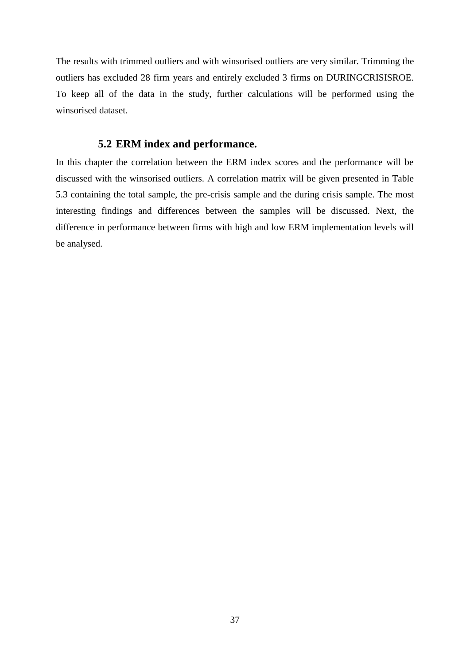The results with trimmed outliers and with winsorised outliers are very similar. Trimming the outliers has excluded 28 firm years and entirely excluded 3 firms on DURINGCRISISROE. To keep all of the data in the study, further calculations will be performed using the winsorised dataset.

## **5.2 ERM index and performance.**

In this chapter the correlation between the ERM index scores and the performance will be discussed with the winsorised outliers. A correlation matrix will be given presented in Table 5.3 containing the total sample, the pre-crisis sample and the during crisis sample. The most interesting findings and differences between the samples will be discussed. Next, the difference in performance between firms with high and low ERM implementation levels will be analysed.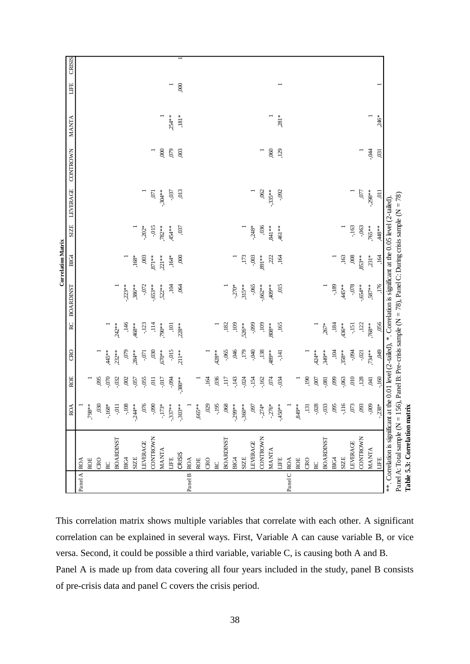|             |                                                                                                                          |                      |                |          |                  |                  | <b>Correlation Matrix</b> |             |           |                 |          |      |        |
|-------------|--------------------------------------------------------------------------------------------------------------------------|----------------------|----------------|----------|------------------|------------------|---------------------------|-------------|-----------|-----------------|----------|------|--------|
|             |                                                                                                                          | <b>ROA</b>           | <b>ROE</b>     | œ<br>C   | RC               | <b>BOARDINST</b> | <b>BIG4</b>               | <b>SIZE</b> | LEVERAGE  | <b>CONTROWN</b> | MANTA    | LIFE | CRISIS |
| Panel A ROA |                                                                                                                          |                      |                |          |                  |                  |                           |             |           |                 |          |      |        |
|             | ROE                                                                                                                      | $.98*$               |                |          |                  |                  |                           |             |           |                 |          |      |        |
|             | CRO                                                                                                                      | 030                  | ,095           |          |                  |                  |                           |             |           |                 |          |      |        |
|             | $\rm RC$                                                                                                                 | $-168*$              | 070.           | 445**    |                  |                  |                           |             |           |                 |          |      |        |
|             | <b>BOARDINST</b>                                                                                                         | $-0.11$<br>0.04      | $-032$         | $232**$  | $.242**$         |                  |                           |             |           |                 |          |      |        |
|             | BIG4                                                                                                                     |                      | ,002           | 0,079    | ,146             | $-223**$         |                           |             |           |                 |          |      |        |
|             | <b>SIZE</b>                                                                                                              | $-244**$             | $-0.57$        | $.284**$ | 468**            | $,386**$         | $168*$                    |             |           |                 |          |      |        |
|             | LEVERAGE                                                                                                                 | 076                  | $-0.055$       | $-0.071$ | $-123$           | $-0.072$         | ,003                      | $-202*$     |           |                 |          |      |        |
|             | <b>CONTROWN</b>                                                                                                          | $-0.90$              | $\overline{0}$ | 030      | ,114             | $-653**$         | $.871**$                  | $-0.15$     | 5         | $\overline{a}$  |          |      |        |
|             | <b>MANTA</b>                                                                                                             | $-173*$              | $-0.017$       | $670**$  | 790**            | $522**$          | $221**$                   | $782**$     | $-.304**$ | 000,            |          |      |        |
|             | LIFE                                                                                                                     | $-337*$              | $-0.94$        | $-0.015$ | 101              | 'nбť             | $,164*$                   | $,454**$    | $-0.37$   | 079             | $.254**$ | Ξ    |        |
|             | CRISIS                                                                                                                   | $-303*$              | $-380**$       | $211**$  | $,228**$         | .064             | 000,                      | ,037        | ,013      | 003             | $,181^*$ | 000, |        |
| Panel B ROA |                                                                                                                          |                      |                |          |                  |                  |                           |             |           |                 |          |      |        |
|             | ROE                                                                                                                      | $665*$               |                |          |                  |                  |                           |             |           |                 |          |      |        |
|             | CRO                                                                                                                      | 029                  | 164            |          |                  |                  |                           |             |           |                 |          |      |        |
|             | RC                                                                                                                       | $-195$               | ,036           | $,428**$ |                  |                  |                           |             |           |                 |          |      |        |
|             | <b>BOARDINST</b>                                                                                                         | 068                  | ,117           | $-0.065$ | ,182             |                  |                           |             |           |                 |          |      |        |
|             | BIC4                                                                                                                     | $-299**$             | $-143$         | ,046     | .109             | $-270*$          |                           |             |           |                 |          |      |        |
|             | <b>SIZE</b>                                                                                                              | $-360**$             | $-0.024$       | ,179     | ,526**           | $,315**$         | ,173                      |             |           |                 |          |      |        |
|             | LEVERAGE                                                                                                                 | 160'                 | $-154$         | 040      | $-0.999$         | $-0.065$         | $-0.003$                  | $-248*$     |           |                 |          |      |        |
|             | CONTROWN                                                                                                                 | $-274*$              | $-162$         | ,138     | 109              | $-662**$         | **168.                    | 036         | ,062      | $\overline{a}$  |          |      |        |
|             | <b>MANTA</b>                                                                                                             | $-276*$              | 074            | 489**    | $808^{\ast\ast}$ | $409**$          | ,222                      | $,841**$    | $-.335**$ | ,060            |          |      |        |
|             | $\begin{array}{c} \Xi \end{array}$                                                                                       | $-450*$              | $-0.34$        | -,141    | ,165             | 015              | 164                       | ,461**      | $-0.92$   | ,129            | $,281*$  |      |        |
| Panel C ROA |                                                                                                                          |                      |                |          |                  |                  |                           |             |           |                 |          |      |        |
|             | ROE                                                                                                                      | $,849**$             |                |          |                  |                  |                           |             |           |                 |          |      |        |
|             | <b>CRO</b>                                                                                                               | $,131$               | 190            |          |                  |                  |                           |             |           |                 |          |      |        |
|             | RC                                                                                                                       | $-0.028$<br>$-0.033$ | ,007           | $424**$  |                  |                  |                           |             |           |                 |          |      |        |
|             | <b>BOARDINST</b>                                                                                                         |                      | $-0.081$       | 349**    | $267*$           |                  |                           |             |           |                 |          |      |        |
|             | BICH                                                                                                                     | 095                  | ,099           | 104      | ,184             | $-189$           |                           |             |           |                 |          |      |        |
|             | <b>SIZE</b>                                                                                                              | $-116$               | ,063           | $358**$  | $436**$          | $,445**$         | ,163                      |             |           |                 |          |      |        |
|             | LEVERAGE                                                                                                                 | $073$                | 010            | $-0.94$  | $-151$           | $-0.078$         | $008$                     | $-163$      |           |                 |          |      |        |
|             | CONTROWN                                                                                                                 | ,093                 | ,128           | $-0.021$ | ,122             | $-654**$         | $853**$                   | $-0.063$    | 77        |                 |          |      |        |
|             | <b>MANTA</b>                                                                                                             | $-0.009$             | $\ddot{a}$     | ,734**   | $.768**$         | $.587**$         | $231*$                    | ,765**      | $-298**$  | $-94$           |          |      |        |
|             | LIFE                                                                                                                     | $-238*$              | $-160$         | 99       | ,056             | .176             | ,164                      | $,448**$    | EQ.       | .031            | .246*    |      |        |
|             | ** Correlation is significant at the 0.01 level (2-tailed), *. Correlation is significant at the 0.05 level (2-tailed).  |                      |                |          |                  |                  |                           |             |           |                 |          |      |        |
|             | Panel A: Total sample ( $N = 156$ ), Panel B: Pre-crisis sample ( $N = 78$ ), Panel C: During crisis sample ( $N = 78$ ) |                      |                |          |                  |                  |                           |             |           |                 |          |      |        |
|             | Table 5.3: Correlation matrix                                                                                            |                      |                |          |                  |                  |                           |             |           |                 |          |      |        |

This correlation matrix shows multiple variables that correlate with each other. A significant correlation can be explained in several ways. First, Variable A can cause variable B, or vice versa. Second, it could be possible a third variable, variable C, is causing both A and B. Panel A is made up from data covering all four years included in the study, panel B consists of pre-crisis data and panel C covers the crisis period.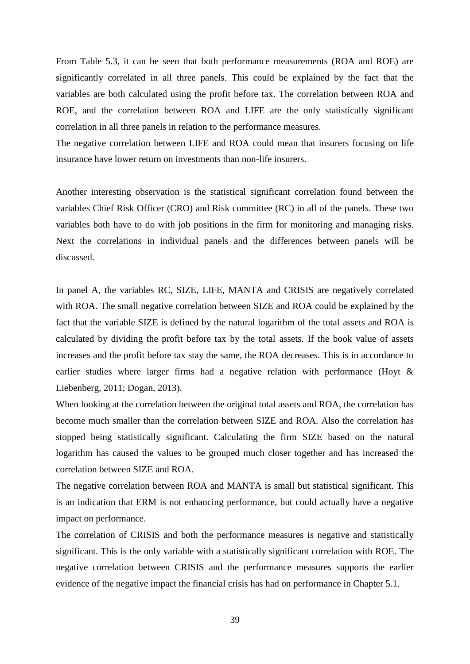From Table 5.3, it can be seen that both performance measurements (ROA and ROE) are significantly correlated in all three panels. This could be explained by the fact that the variables are both calculated using the profit before tax. The correlation between ROA and ROE, and the correlation between ROA and LIFE are the only statistically significant correlation in all three panels in relation to the performance measures.

The negative correlation between LIFE and ROA could mean that insurers focusing on life insurance have lower return on investments than non-life insurers.

Another interesting observation is the statistical significant correlation found between the variables Chief Risk Officer (CRO) and Risk committee (RC) in all of the panels. These two variables both have to do with job positions in the firm for monitoring and managing risks. Next the correlations in individual panels and the differences between panels will be discussed.

In panel A, the variables RC, SIZE, LIFE, MANTA and CRISIS are negatively correlated with ROA. The small negative correlation between SIZE and ROA could be explained by the fact that the variable SIZE is defined by the natural logarithm of the total assets and ROA is calculated by dividing the profit before tax by the total assets. If the book value of assets increases and the profit before tax stay the same, the ROA decreases. This is in accordance to earlier studies where larger firms had a negative relation with performance (Hoyt & Liebenberg, 2011; Dogan, 2013).

When looking at the correlation between the original total assets and ROA, the correlation has become much smaller than the correlation between SIZE and ROA. Also the correlation has stopped being statistically significant. Calculating the firm SIZE based on the natural logarithm has caused the values to be grouped much closer together and has increased the correlation between SIZE and ROA.

The negative correlation between ROA and MANTA is small but statistical significant. This is an indication that ERM is not enhancing performance, but could actually have a negative impact on performance.

The correlation of CRISIS and both the performance measures is negative and statistically significant. This is the only variable with a statistically significant correlation with ROE. The negative correlation between CRISIS and the performance measures supports the earlier evidence of the negative impact the financial crisis has had on performance in Chapter 5.1.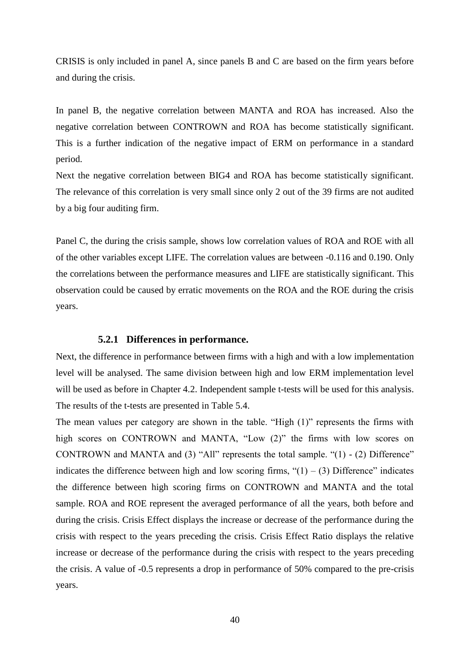CRISIS is only included in panel A, since panels B and C are based on the firm years before and during the crisis.

In panel B, the negative correlation between MANTA and ROA has increased. Also the negative correlation between CONTROWN and ROA has become statistically significant. This is a further indication of the negative impact of ERM on performance in a standard period.

Next the negative correlation between BIG4 and ROA has become statistically significant. The relevance of this correlation is very small since only 2 out of the 39 firms are not audited by a big four auditing firm.

Panel C, the during the crisis sample, shows low correlation values of ROA and ROE with all of the other variables except LIFE. The correlation values are between -0.116 and 0.190. Only the correlations between the performance measures and LIFE are statistically significant. This observation could be caused by erratic movements on the ROA and the ROE during the crisis years.

#### **5.2.1 Differences in performance.**

Next, the difference in performance between firms with a high and with a low implementation level will be analysed. The same division between high and low ERM implementation level will be used as before in Chapter 4.2. Independent sample t-tests will be used for this analysis. The results of the t-tests are presented in Table 5.4.

The mean values per category are shown in the table. "High  $(1)$ " represents the firms with high scores on CONTROWN and MANTA, "Low  $(2)$ " the firms with low scores on CONTROWN and MANTA and  $(3)$  "All" represents the total sample. " $(1)$  -  $(2)$  Difference" indicates the difference between high and low scoring firms,  $\degree(1) - (3)$  Difference" indicates the difference between high scoring firms on CONTROWN and MANTA and the total sample. ROA and ROE represent the averaged performance of all the years, both before and during the crisis. Crisis Effect displays the increase or decrease of the performance during the crisis with respect to the years preceding the crisis. Crisis Effect Ratio displays the relative increase or decrease of the performance during the crisis with respect to the years preceding the crisis. A value of -0.5 represents a drop in performance of 50% compared to the pre-crisis years.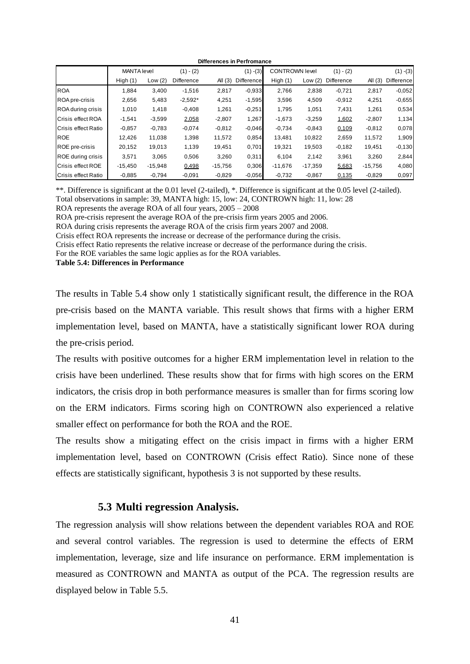|                          | Differences in Perfromance |           |             |           |                   |                       |           |             |           |             |
|--------------------------|----------------------------|-----------|-------------|-----------|-------------------|-----------------------|-----------|-------------|-----------|-------------|
|                          | <b>MANTA</b> level         |           | $(1) - (2)$ |           | $(1) - (3)$       | <b>CONTROWN level</b> |           | $(1) - (2)$ |           | $(1) - (3)$ |
|                          | High $(1)$                 | Low $(2)$ | Difference  | All $(3)$ | <b>Difference</b> | High $(1)$            | Low $(2)$ | Difference  | All $(3)$ | Difference  |
| <b>ROA</b>               | 1,884                      | 3,400     | $-1,516$    | 2,817     | $-0.933$          | 2,766                 | 2,838     | $-0,721$    | 2,817     | $-0.052$    |
| ROA pre-crisis           | 2,656                      | 5,483     | $-2,592*$   | 4,251     | $-1,595$          | 3,596                 | 4,509     | $-0.912$    | 4,251     | $-0,655$    |
| ROA during crisis        | 1,010                      | 1.418     | $-0,408$    | 1,261     | $-0,251$          | 1.795                 | 1,051     | 7,431       | 1,261     | 0,534       |
| Crisis effect ROA        | $-1,541$                   | $-3,599$  | 2,058       | $-2,807$  | 1,267             | $-1,673$              | $-3,259$  | 1,602       | $-2,807$  | 1,134       |
| Crisis effect Ratio      | $-0.857$                   | $-0.783$  | $-0,074$    | $-0.812$  | $-0.046$          | $-0.734$              | $-0,843$  | 0,109       | $-0.812$  | 0,078       |
| <b>ROE</b>               | 12.426                     | 11,038    | 1,398       | 11,572    | 0,854             | 13.481                | 10,822    | 2,659       | 11,572    | 1,909       |
| ROE pre-crisis           | 20,152                     | 19,013    | 1,139       | 19,451    | 0,701             | 19,321                | 19,503    | $-0,182$    | 19,451    | $-0,130$    |
| <b>ROE</b> during crisis | 3,571                      | 3,065     | 0,506       | 3,260     | 0,311             | 6,104                 | 2,142     | 3,961       | 3,260     | 2,844       |
| Crisis effect ROE        | $-15,450$                  | $-15,948$ | 0,498       | $-15,756$ | 0,306             | $-11,676$             | $-17,359$ | 5,683       | $-15,756$ | 4,080       |
| Crisis effect Ratio      | $-0.885$                   | $-0,794$  | $-0.091$    | $-0,829$  | $-0.056$          | $-0,732$              | $-0.867$  | 0,135       | $-0,829$  | 0,097       |

\*\*. Difference is significant at the 0.01 level (2-tailed), \*. Difference is significant at the 0.05 level (2-tailed). Total observations in sample: 39, MANTA high: 15, low: 24, CONTROWN high: 11, low: 28

ROA represents the average ROA of all four years, 2005 – 2008

ROA pre-crisis represent the average ROA of the pre-crisis firm years 2005 and 2006.

ROA during crisis represents the average ROA of the crisis firm years 2007 and 2008.

Crisis effect ROA represents the increase or decrease of the performance during the crisis.

Crisis effect Ratio represents the relative increase or decrease of the performance during the crisis.

For the ROE variables the same logic applies as for the ROA variables.

**Table 5.4: Differences in Performance**

The results in Table 5.4 show only 1 statistically significant result, the difference in the ROA pre-crisis based on the MANTA variable. This result shows that firms with a higher ERM implementation level, based on MANTA, have a statistically significant lower ROA during the pre-crisis period.

The results with positive outcomes for a higher ERM implementation level in relation to the crisis have been underlined. These results show that for firms with high scores on the ERM indicators, the crisis drop in both performance measures is smaller than for firms scoring low on the ERM indicators. Firms scoring high on CONTROWN also experienced a relative smaller effect on performance for both the ROA and the ROE.

The results show a mitigating effect on the crisis impact in firms with a higher ERM implementation level, based on CONTROWN (Crisis effect Ratio). Since none of these effects are statistically significant, hypothesis 3 is not supported by these results.

### **5.3 Multi regression Analysis.**

The regression analysis will show relations between the dependent variables ROA and ROE and several control variables. The regression is used to determine the effects of ERM implementation, leverage, size and life insurance on performance. ERM implementation is measured as CONTROWN and MANTA as output of the PCA. The regression results are displayed below in Table 5.5.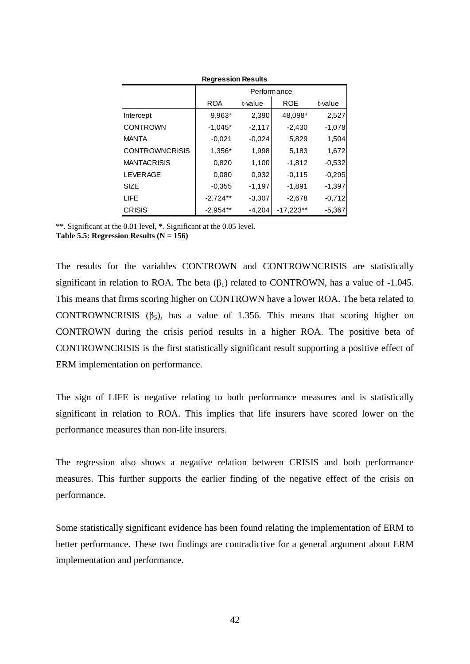|                       |            | Performance |             |          |  |  |  |  |  |  |  |
|-----------------------|------------|-------------|-------------|----------|--|--|--|--|--|--|--|
|                       | <b>ROA</b> | t-value     | <b>ROE</b>  | t-value  |  |  |  |  |  |  |  |
| Intercept             | 9,963*     | 2,390       | 48,098*     | 2,527    |  |  |  |  |  |  |  |
| <b>CONTROWN</b>       | $-1.045*$  | $-2,117$    | $-2,430$    | $-1,078$ |  |  |  |  |  |  |  |
| <b>MANTA</b>          | $-0,021$   | $-0.024$    | 5,829       | 1,504    |  |  |  |  |  |  |  |
| <b>CONTROWNCRISIS</b> | 1,356*     | 1,998       | 5,183       | 1,672    |  |  |  |  |  |  |  |
| <b>MANTACRISIS</b>    | 0,820      | 1,100       | $-1,812$    | $-0,532$ |  |  |  |  |  |  |  |
| <b>LEVERAGE</b>       | 0.080      | 0,932       | $-0.115$    | $-0,295$ |  |  |  |  |  |  |  |
| <b>SIZE</b>           | $-0.355$   | $-1,197$    | $-1,891$    | $-1,397$ |  |  |  |  |  |  |  |
| <b>LIFE</b>           | $-2,724**$ | $-3,307$    | $-2,678$    | $-0,712$ |  |  |  |  |  |  |  |
| <b>CRISIS</b>         | $-2,954**$ | $-4,204$    | $-17,223**$ | $-5,367$ |  |  |  |  |  |  |  |

**Regression Results**

\*\*. Significant at the 0.01 level, \*. Significant at the 0.05 level. **Table 5.5: Regression Results (N = 156)**

The results for the variables CONTROWN and CONTROWNCRISIS are statistically significant in relation to ROA. The beta  $(\beta_1)$  related to CONTROWN, has a value of -1.045. This means that firms scoring higher on CONTROWN have a lower ROA. The beta related to CONTROWNCRISIS  $(\beta_5)$ , has a value of 1.356. This means that scoring higher on CONTROWN during the crisis period results in a higher ROA. The positive beta of CONTROWNCRISIS is the first statistically significant result supporting a positive effect of ERM implementation on performance.

The sign of LIFE is negative relating to both performance measures and is statistically significant in relation to ROA. This implies that life insurers have scored lower on the performance measures than non-life insurers.

The regression also shows a negative relation between CRISIS and both performance measures. This further supports the earlier finding of the negative effect of the crisis on performance.

Some statistically significant evidence has been found relating the implementation of ERM to better performance. These two findings are contradictive for a general argument about ERM implementation and performance.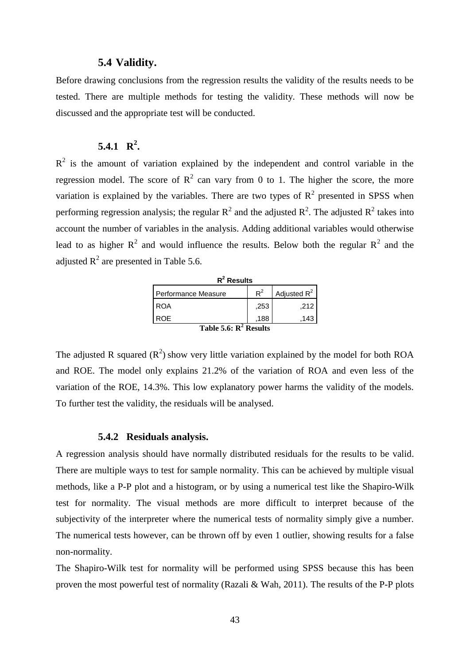#### **5.4 Validity.**

Before drawing conclusions from the regression results the validity of the results needs to be tested. There are multiple methods for testing the validity. These methods will now be discussed and the appropriate test will be conducted.

# **5.4.1 R 2 .**

 $R<sup>2</sup>$  is the amount of variation explained by the independent and control variable in the regression model. The score of  $R^2$  can vary from 0 to 1. The higher the score, the more variation is explained by the variables. There are two types of  $R^2$  presented in SPSS when performing regression analysis; the regular  $R^2$  and the adjusted  $R^2$ . The adjusted  $R^2$  takes into account the number of variables in the analysis. Adding additional variables would otherwise lead to as higher  $R^2$  and would influence the results. Below both the regular  $R^2$  and the adjusted  $R^2$  are presented in Table 5.6.

| $R^2$ Results            |       |                |
|--------------------------|-------|----------------|
| Performance Measure      | $R^2$ | Adjusted $R^2$ |
| <b>ROA</b>               | .253  | .212           |
| ROE.                     | .188  | .143           |
| Table 5.6: $R^2$ Results |       |                |

The adjusted R squared  $(R^2)$  show very little variation explained by the model for both ROA and ROE. The model only explains 21.2% of the variation of ROA and even less of the variation of the ROE, 14.3%. This low explanatory power harms the validity of the models. To further test the validity, the residuals will be analysed.

#### **5.4.2 Residuals analysis.**

A regression analysis should have normally distributed residuals for the results to be valid. There are multiple ways to test for sample normality. This can be achieved by multiple visual methods, like a P-P plot and a histogram, or by using a numerical test like the Shapiro-Wilk test for normality. The visual methods are more difficult to interpret because of the subjectivity of the interpreter where the numerical tests of normality simply give a number. The numerical tests however, can be thrown off by even 1 outlier, showing results for a false non-normality.

The Shapiro-Wilk test for normality will be performed using SPSS because this has been proven the most powerful test of normality (Razali & Wah, 2011). The results of the P-P plots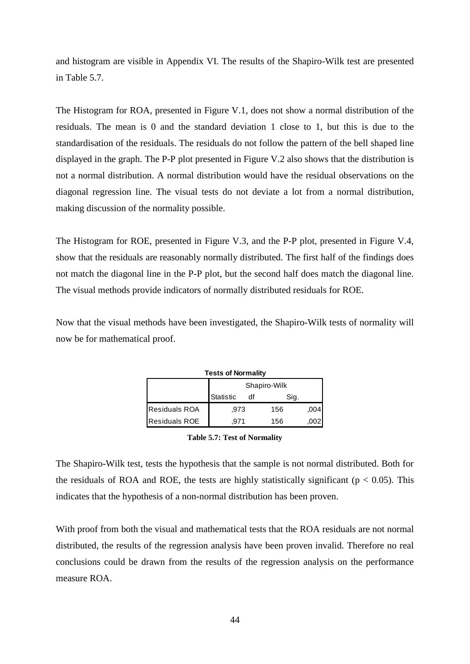and histogram are visible in Appendix VI. The results of the Shapiro-Wilk test are presented in Table 5.7.

The Histogram for ROA, presented in Figure V.1, does not show a normal distribution of the residuals. The mean is 0 and the standard deviation 1 close to 1, but this is due to the standardisation of the residuals. The residuals do not follow the pattern of the bell shaped line displayed in the graph. The P-P plot presented in Figure V.2 also shows that the distribution is not a normal distribution. A normal distribution would have the residual observations on the diagonal regression line. The visual tests do not deviate a lot from a normal distribution, making discussion of the normality possible.

The Histogram for ROE, presented in Figure V.3, and the P-P plot, presented in Figure V.4, show that the residuals are reasonably normally distributed. The first half of the findings does not match the diagonal line in the P-P plot, but the second half does match the diagonal line. The visual methods provide indicators of normally distributed residuals for ROE.

Now that the visual methods have been investigated, the Shapiro-Wilk tests of normality will now be for mathematical proof.

|                      | <b>Tests of Normality</b> |    |              |      |
|----------------------|---------------------------|----|--------------|------|
|                      |                           |    | Shapiro-Wilk |      |
|                      | Statistic                 | df | Sig.         |      |
| <b>Residuals ROA</b> | .973                      |    | 156          | .004 |
| <b>Residuals ROE</b> | .971                      |    | 156          |      |

**Table 5.7: Test of Normality**

The Shapiro-Wilk test, tests the hypothesis that the sample is not normal distributed. Both for the residuals of ROA and ROE, the tests are highly statistically significant ( $p < 0.05$ ). This indicates that the hypothesis of a non-normal distribution has been proven.

With proof from both the visual and mathematical tests that the ROA residuals are not normal distributed, the results of the regression analysis have been proven invalid. Therefore no real conclusions could be drawn from the results of the regression analysis on the performance measure ROA.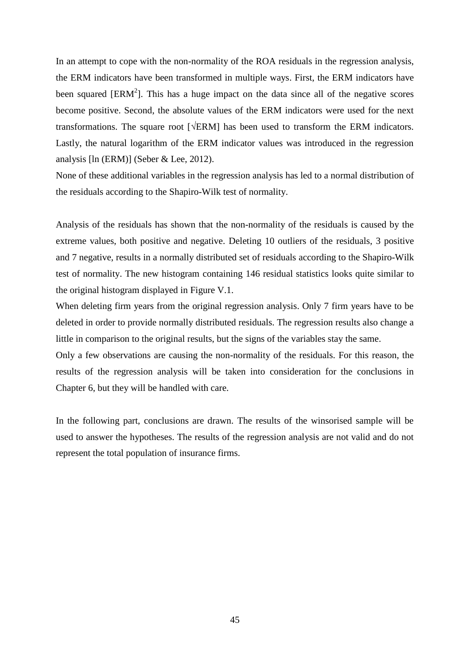In an attempt to cope with the non-normality of the ROA residuals in the regression analysis, the ERM indicators have been transformed in multiple ways. First, the ERM indicators have been squared  $[ERM^2]$ . This has a huge impact on the data since all of the negative scores become positive. Second, the absolute values of the ERM indicators were used for the next transformations. The square root [√ERM] has been used to transform the ERM indicators. Lastly, the natural logarithm of the ERM indicator values was introduced in the regression analysis [ln (ERM)] (Seber & Lee, 2012).

None of these additional variables in the regression analysis has led to a normal distribution of the residuals according to the Shapiro-Wilk test of normality.

Analysis of the residuals has shown that the non-normality of the residuals is caused by the extreme values, both positive and negative. Deleting 10 outliers of the residuals, 3 positive and 7 negative, results in a normally distributed set of residuals according to the Shapiro-Wilk test of normality. The new histogram containing 146 residual statistics looks quite similar to the original histogram displayed in Figure V.1.

When deleting firm years from the original regression analysis. Only 7 firm years have to be deleted in order to provide normally distributed residuals. The regression results also change a little in comparison to the original results, but the signs of the variables stay the same.

Only a few observations are causing the non-normality of the residuals. For this reason, the results of the regression analysis will be taken into consideration for the conclusions in Chapter 6, but they will be handled with care.

In the following part, conclusions are drawn. The results of the winsorised sample will be used to answer the hypotheses. The results of the regression analysis are not valid and do not represent the total population of insurance firms.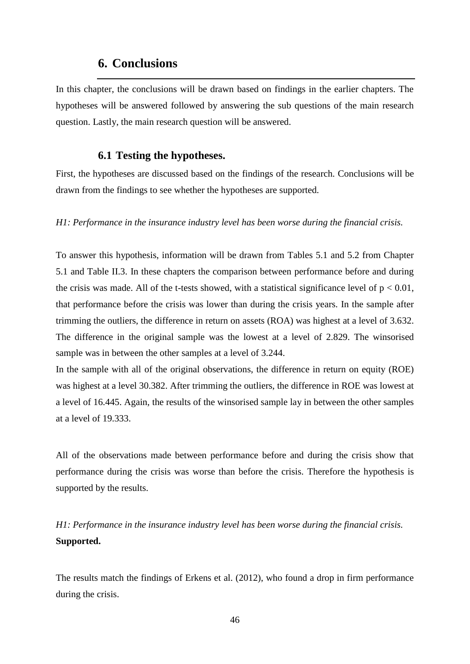# **6. Conclusions**

In this chapter, the conclusions will be drawn based on findings in the earlier chapters. The hypotheses will be answered followed by answering the sub questions of the main research question. Lastly, the main research question will be answered.

## **6.1 Testing the hypotheses.**

First, the hypotheses are discussed based on the findings of the research. Conclusions will be drawn from the findings to see whether the hypotheses are supported.

*H1: Performance in the insurance industry level has been worse during the financial crisis.*

To answer this hypothesis, information will be drawn from Tables 5.1 and 5.2 from Chapter 5.1 and Table II.3. In these chapters the comparison between performance before and during the crisis was made. All of the t-tests showed, with a statistical significance level of  $p < 0.01$ , that performance before the crisis was lower than during the crisis years. In the sample after trimming the outliers, the difference in return on assets (ROA) was highest at a level of 3.632. The difference in the original sample was the lowest at a level of 2.829. The winsorised sample was in between the other samples at a level of 3.244.

In the sample with all of the original observations, the difference in return on equity (ROE) was highest at a level 30.382. After trimming the outliers, the difference in ROE was lowest at a level of 16.445. Again, the results of the winsorised sample lay in between the other samples at a level of 19.333.

All of the observations made between performance before and during the crisis show that performance during the crisis was worse than before the crisis. Therefore the hypothesis is supported by the results.

*H1: Performance in the insurance industry level has been worse during the financial crisis.* **Supported.**

The results match the findings of Erkens et al. (2012), who found a drop in firm performance during the crisis.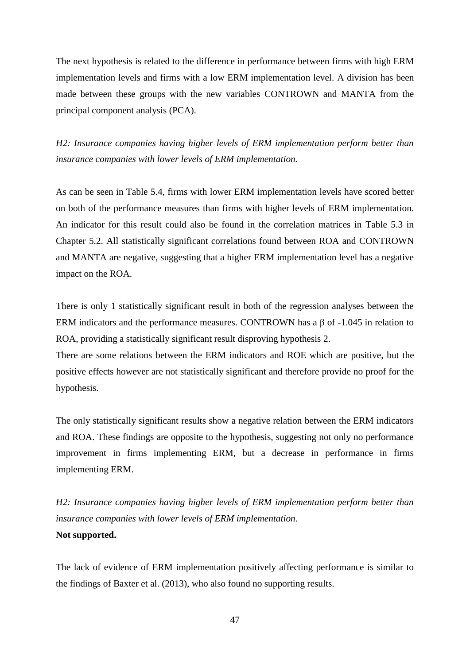The next hypothesis is related to the difference in performance between firms with high ERM implementation levels and firms with a low ERM implementation level. A division has been made between these groups with the new variables CONTROWN and MANTA from the principal component analysis (PCA).

*H2: Insurance companies having higher levels of ERM implementation perform better than insurance companies with lower levels of ERM implementation.*

As can be seen in Table 5.4, firms with lower ERM implementation levels have scored better on both of the performance measures than firms with higher levels of ERM implementation. An indicator for this result could also be found in the correlation matrices in Table 5.3 in Chapter 5.2. All statistically significant correlations found between ROA and CONTROWN and MANTA are negative, suggesting that a higher ERM implementation level has a negative impact on the ROA.

There is only 1 statistically significant result in both of the regression analyses between the ERM indicators and the performance measures. CONTROWN has a  $\beta$  of -1.045 in relation to ROA, providing a statistically significant result disproving hypothesis 2.

There are some relations between the ERM indicators and ROE which are positive, but the positive effects however are not statistically significant and therefore provide no proof for the hypothesis.

The only statistically significant results show a negative relation between the ERM indicators and ROA. These findings are opposite to the hypothesis, suggesting not only no performance improvement in firms implementing ERM, but a decrease in performance in firms implementing ERM.

*H2: Insurance companies having higher levels of ERM implementation perform better than insurance companies with lower levels of ERM implementation.*

### **Not supported.**

The lack of evidence of ERM implementation positively affecting performance is similar to the findings of Baxter et al. (2013), who also found no supporting results.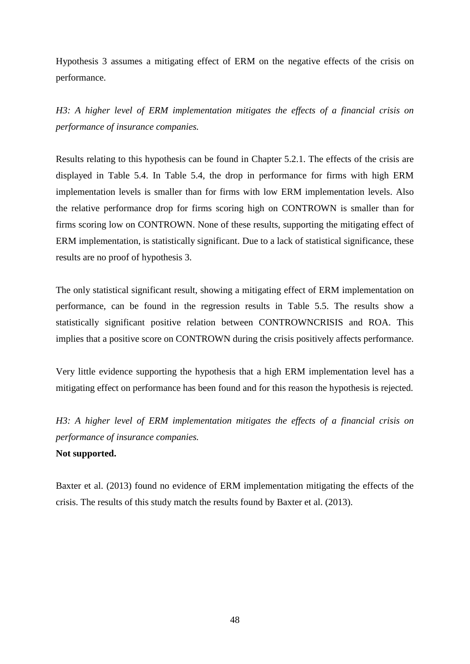Hypothesis 3 assumes a mitigating effect of ERM on the negative effects of the crisis on performance.

*H3: A higher level of ERM implementation mitigates the effects of a financial crisis on performance of insurance companies.*

Results relating to this hypothesis can be found in Chapter 5.2.1. The effects of the crisis are displayed in Table 5.4. In Table 5.4, the drop in performance for firms with high ERM implementation levels is smaller than for firms with low ERM implementation levels. Also the relative performance drop for firms scoring high on CONTROWN is smaller than for firms scoring low on CONTROWN. None of these results, supporting the mitigating effect of ERM implementation, is statistically significant. Due to a lack of statistical significance, these results are no proof of hypothesis 3.

The only statistical significant result, showing a mitigating effect of ERM implementation on performance, can be found in the regression results in Table 5.5. The results show a statistically significant positive relation between CONTROWNCRISIS and ROA. This implies that a positive score on CONTROWN during the crisis positively affects performance.

Very little evidence supporting the hypothesis that a high ERM implementation level has a mitigating effect on performance has been found and for this reason the hypothesis is rejected.

*H3: A higher level of ERM implementation mitigates the effects of a financial crisis on performance of insurance companies.*

## **Not supported.**

Baxter et al. (2013) found no evidence of ERM implementation mitigating the effects of the crisis. The results of this study match the results found by Baxter et al. (2013).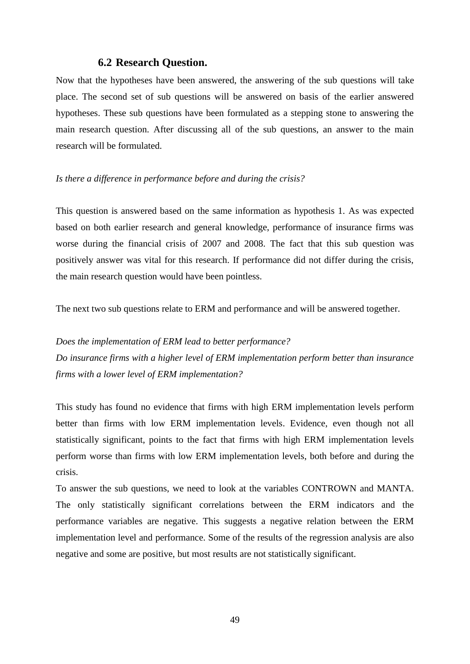## **6.2 Research Question.**

Now that the hypotheses have been answered, the answering of the sub questions will take place. The second set of sub questions will be answered on basis of the earlier answered hypotheses. These sub questions have been formulated as a stepping stone to answering the main research question. After discussing all of the sub questions, an answer to the main research will be formulated.

#### *Is there a difference in performance before and during the crisis?*

This question is answered based on the same information as hypothesis 1. As was expected based on both earlier research and general knowledge, performance of insurance firms was worse during the financial crisis of 2007 and 2008. The fact that this sub question was positively answer was vital for this research. If performance did not differ during the crisis, the main research question would have been pointless.

The next two sub questions relate to ERM and performance and will be answered together.

*Does the implementation of ERM lead to better performance? Do insurance firms with a higher level of ERM implementation perform better than insurance firms with a lower level of ERM implementation?*

This study has found no evidence that firms with high ERM implementation levels perform better than firms with low ERM implementation levels. Evidence, even though not all statistically significant, points to the fact that firms with high ERM implementation levels perform worse than firms with low ERM implementation levels, both before and during the crisis.

To answer the sub questions, we need to look at the variables CONTROWN and MANTA. The only statistically significant correlations between the ERM indicators and the performance variables are negative. This suggests a negative relation between the ERM implementation level and performance. Some of the results of the regression analysis are also negative and some are positive, but most results are not statistically significant.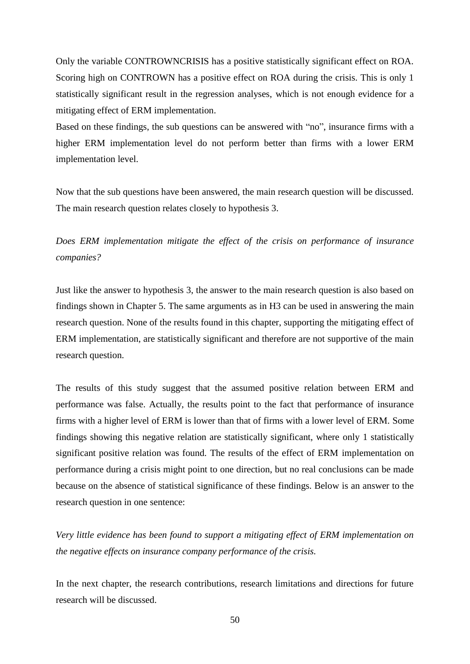Only the variable CONTROWNCRISIS has a positive statistically significant effect on ROA. Scoring high on CONTROWN has a positive effect on ROA during the crisis. This is only 1 statistically significant result in the regression analyses, which is not enough evidence for a mitigating effect of ERM implementation.

Based on these findings, the sub questions can be answered with "no", insurance firms with a higher ERM implementation level do not perform better than firms with a lower ERM implementation level.

Now that the sub questions have been answered, the main research question will be discussed. The main research question relates closely to hypothesis 3.

*Does ERM implementation mitigate the effect of the crisis on performance of insurance companies?*

Just like the answer to hypothesis 3, the answer to the main research question is also based on findings shown in Chapter 5. The same arguments as in H3 can be used in answering the main research question. None of the results found in this chapter, supporting the mitigating effect of ERM implementation, are statistically significant and therefore are not supportive of the main research question.

The results of this study suggest that the assumed positive relation between ERM and performance was false. Actually, the results point to the fact that performance of insurance firms with a higher level of ERM is lower than that of firms with a lower level of ERM. Some findings showing this negative relation are statistically significant, where only 1 statistically significant positive relation was found. The results of the effect of ERM implementation on performance during a crisis might point to one direction, but no real conclusions can be made because on the absence of statistical significance of these findings. Below is an answer to the research question in one sentence:

*Very little evidence has been found to support a mitigating effect of ERM implementation on the negative effects on insurance company performance of the crisis.* 

In the next chapter, the research contributions, research limitations and directions for future research will be discussed.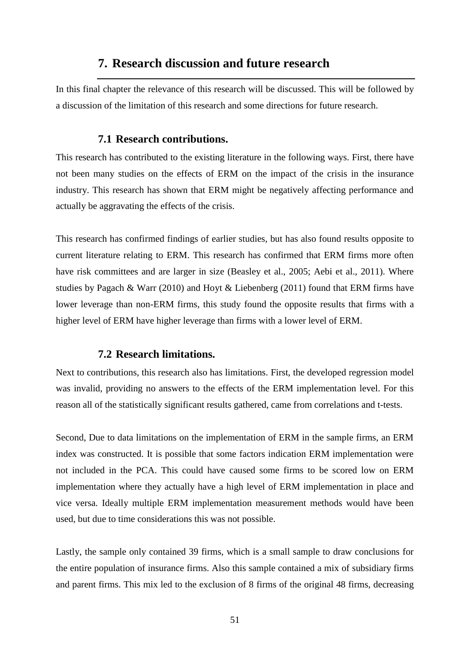# **7. Research discussion and future research**

In this final chapter the relevance of this research will be discussed. This will be followed by a discussion of the limitation of this research and some directions for future research.

### **7.1 Research contributions.**

This research has contributed to the existing literature in the following ways. First, there have not been many studies on the effects of ERM on the impact of the crisis in the insurance industry. This research has shown that ERM might be negatively affecting performance and actually be aggravating the effects of the crisis.

This research has confirmed findings of earlier studies, but has also found results opposite to current literature relating to ERM. This research has confirmed that ERM firms more often have risk committees and are larger in size (Beasley et al., 2005; Aebi et al., 2011). Where studies by Pagach & Warr (2010) and Hoyt & Liebenberg (2011) found that ERM firms have lower leverage than non-ERM firms, this study found the opposite results that firms with a higher level of ERM have higher leverage than firms with a lower level of ERM.

#### **7.2 Research limitations.**

Next to contributions, this research also has limitations. First, the developed regression model was invalid, providing no answers to the effects of the ERM implementation level. For this reason all of the statistically significant results gathered, came from correlations and t-tests.

Second, Due to data limitations on the implementation of ERM in the sample firms, an ERM index was constructed. It is possible that some factors indication ERM implementation were not included in the PCA. This could have caused some firms to be scored low on ERM implementation where they actually have a high level of ERM implementation in place and vice versa. Ideally multiple ERM implementation measurement methods would have been used, but due to time considerations this was not possible.

Lastly, the sample only contained 39 firms, which is a small sample to draw conclusions for the entire population of insurance firms. Also this sample contained a mix of subsidiary firms and parent firms. This mix led to the exclusion of 8 firms of the original 48 firms, decreasing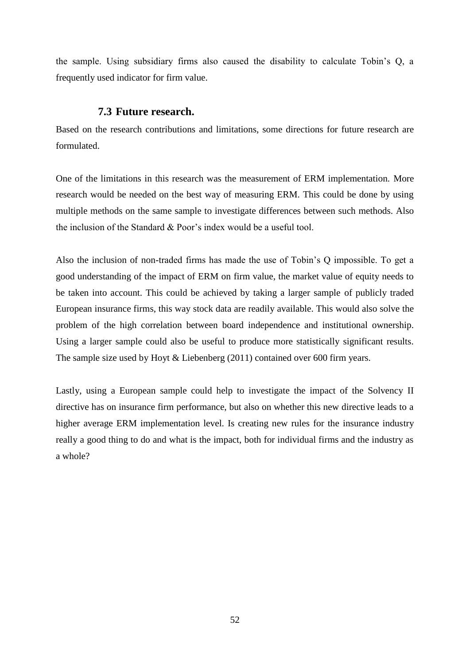the sample. Using subsidiary firms also caused the disability to calculate Tobin's Q, a frequently used indicator for firm value.

## **7.3 Future research.**

Based on the research contributions and limitations, some directions for future research are formulated.

One of the limitations in this research was the measurement of ERM implementation. More research would be needed on the best way of measuring ERM. This could be done by using multiple methods on the same sample to investigate differences between such methods. Also the inclusion of the Standard & Poor's index would be a useful tool.

Also the inclusion of non-traded firms has made the use of Tobin's Q impossible. To get a good understanding of the impact of ERM on firm value, the market value of equity needs to be taken into account. This could be achieved by taking a larger sample of publicly traded European insurance firms, this way stock data are readily available. This would also solve the problem of the high correlation between board independence and institutional ownership. Using a larger sample could also be useful to produce more statistically significant results. The sample size used by Hoyt & Liebenberg (2011) contained over 600 firm years.

Lastly, using a European sample could help to investigate the impact of the Solvency II directive has on insurance firm performance, but also on whether this new directive leads to a higher average ERM implementation level. Is creating new rules for the insurance industry really a good thing to do and what is the impact, both for individual firms and the industry as a whole?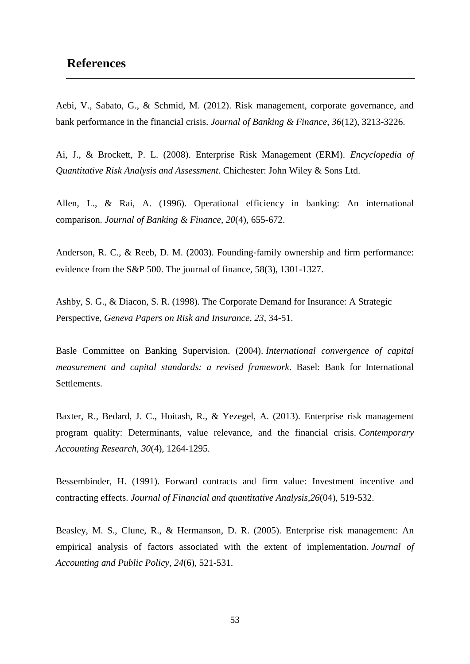# **References**

Aebi, V., Sabato, G., & Schmid, M. (2012). Risk management, corporate governance, and bank performance in the financial crisis. *Journal of Banking & Finance*, *36*(12), 3213-3226.

Ai, J., & Brockett, P. L. (2008). Enterprise Risk Management (ERM). *Encyclopedia of Quantitative Risk Analysis and Assessment*. Chichester: John Wiley & Sons Ltd.

Allen, L., & Rai, A. (1996). Operational efficiency in banking: An international comparison. *Journal of Banking & Finance*, *20*(4), 655-672.

Anderson, R. C., & Reeb, D. M. (2003). Founding‐family ownership and firm performance: evidence from the S&P 500. The journal of finance, 58(3), 1301-1327.

Ashby, S. G., & Diacon, S. R. (1998). The Corporate Demand for Insurance: A Strategic Perspective, *Geneva Papers on Risk and Insurance*, *23*, 34-51.

Basle Committee on Banking Supervision. (2004). *International convergence of capital measurement and capital standards: a revised framework*. Basel: Bank for International Settlements.

Baxter, R., Bedard, J. C., Hoitash, R., & Yezegel, A. (2013). Enterprise risk management program quality: Determinants, value relevance, and the financial crisis. *Contemporary Accounting Research*, *30*(4), 1264-1295.

Bessembinder, H. (1991). Forward contracts and firm value: Investment incentive and contracting effects. *Journal of Financial and quantitative Analysis*,*26*(04), 519-532.

Beasley, M. S., Clune, R., & Hermanson, D. R. (2005). Enterprise risk management: An empirical analysis of factors associated with the extent of implementation. *Journal of Accounting and Public Policy*, *24*(6), 521-531.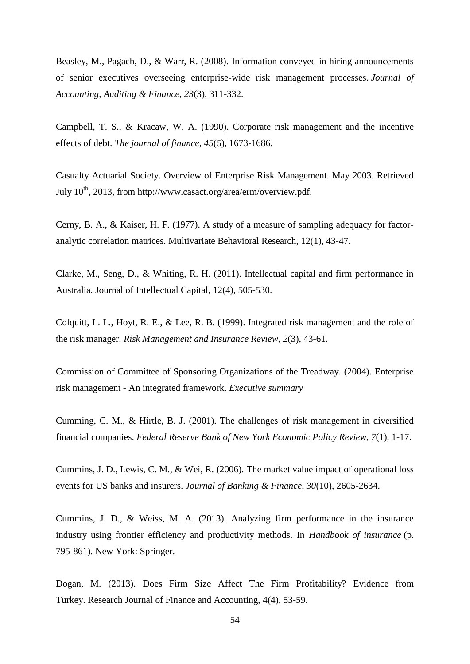Beasley, M., Pagach, D., & Warr, R. (2008). Information conveyed in hiring announcements of senior executives overseeing enterprise-wide risk management processes. *Journal of Accounting, Auditing & Finance*, *23*(3), 311-332.

Campbell, T. S., & Kracaw, W. A. (1990). Corporate risk management and the incentive effects of debt. *The journal of finance*, *45*(5), 1673-1686.

Casualty Actuarial Society. Overview of Enterprise Risk Management. May 2003. Retrieved July  $10^{th}$ , 2013, from http://www.casact.org/area/erm/overview.pdf.

Cerny, B. A., & Kaiser, H. F. (1977). A study of a measure of sampling adequacy for factoranalytic correlation matrices. Multivariate Behavioral Research, 12(1), 43-47.

Clarke, M., Seng, D., & Whiting, R. H. (2011). Intellectual capital and firm performance in Australia. Journal of Intellectual Capital, 12(4), 505-530.

Colquitt, L. L., Hoyt, R. E., & Lee, R. B. (1999). Integrated risk management and the role of the risk manager. *Risk Management and Insurance Review*, *2*(3), 43-61.

Commission of Committee of Sponsoring Organizations of the Treadway. (2004). Enterprise risk management - An integrated framework. *Executive summary*

Cumming, C. M., & Hirtle, B. J. (2001). The challenges of risk management in diversified financial companies. *Federal Reserve Bank of New York Economic Policy Review*, *7*(1), 1-17.

Cummins, J. D., Lewis, C. M., & Wei, R. (2006). The market value impact of operational loss events for US banks and insurers. *Journal of Banking & Finance*, *30*(10), 2605-2634.

Cummins, J. D., & Weiss, M. A. (2013). Analyzing firm performance in the insurance industry using frontier efficiency and productivity methods. In *Handbook of insurance* (p. 795-861). New York: Springer.

Dogan, M. (2013). Does Firm Size Affect The Firm Profitability? Evidence from Turkey. Research Journal of Finance and Accounting, 4(4), 53-59.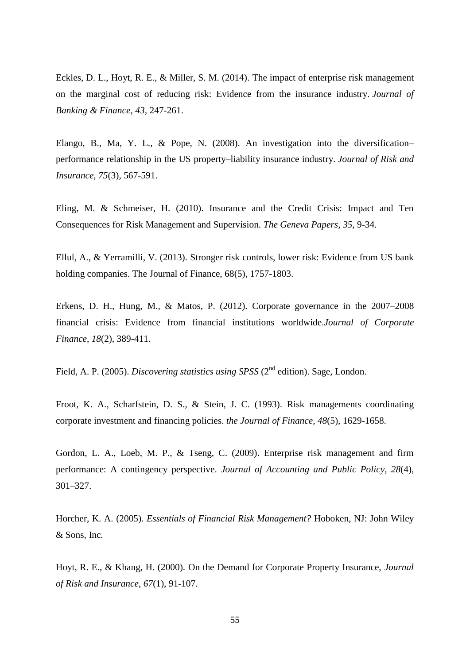Eckles, D. L., Hoyt, R. E., & Miller, S. M. (2014). The impact of enterprise risk management on the marginal cost of reducing risk: Evidence from the insurance industry. *Journal of Banking & Finance*, *43*, 247-261.

Elango, B., Ma, Y. L., & Pope, N. (2008). An investigation into the diversification– performance relationship in the US property–liability insurance industry. *Journal of Risk and Insurance*, *75*(3), 567-591.

Eling, M. & Schmeiser, H. (2010). Insurance and the Credit Crisis: Impact and Ten Consequences for Risk Management and Supervision. *The Geneva Papers, 35,* 9-34.

Ellul, A., & Yerramilli, V. (2013). Stronger risk controls, lower risk: Evidence from US bank holding companies. The Journal of Finance, 68(5), 1757-1803.

Erkens, D. H., Hung, M., & Matos, P. (2012). Corporate governance in the 2007–2008 financial crisis: Evidence from financial institutions worldwide.*Journal of Corporate Finance*, *18*(2), 389-411.

Field, A. P. (2005). *Discovering statistics using SPSS* (2<sup>nd</sup> edition). Sage, London.

Froot, K. A., Scharfstein, D. S., & Stein, J. C. (1993). Risk managements coordinating corporate investment and financing policies. *the Journal of Finance*, *48*(5), 1629-1658.

Gordon, L. A., Loeb, M. P., & Tseng, C. (2009). Enterprise risk management and firm performance: A contingency perspective. *Journal of Accounting and Public Policy*, *28*(4), 301–327.

Horcher, K. A. (2005). *Essentials of Financial Risk Management?* Hoboken, NJ: John Wiley & Sons, Inc.

Hoyt, R. E., & Khang, H. (2000). On the Demand for Corporate Property Insurance, *Journal of Risk and Insurance*, *67*(1), 91-107.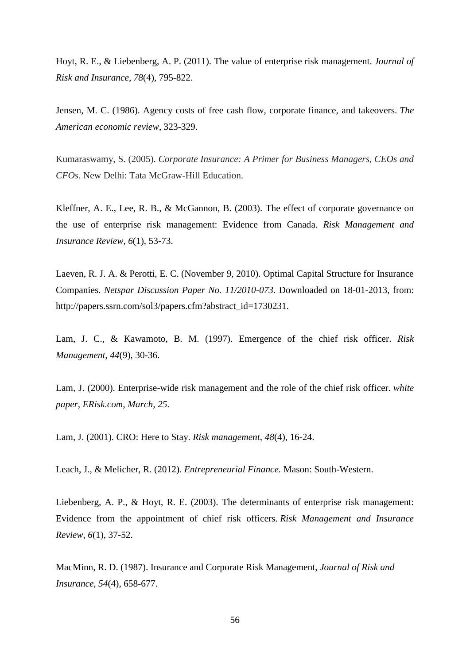Hoyt, R. E., & Liebenberg, A. P. (2011). The value of enterprise risk management. *Journal of Risk and Insurance*, *78*(4), 795-822.

Jensen, M. C. (1986). Agency costs of free cash flow, corporate finance, and takeovers. *The American economic review*, 323-329.

Kumaraswamy, S. (2005). *Corporate Insurance: A Primer for Business Managers, CEOs and CFOs*. New Delhi: Tata McGraw-Hill Education.

Kleffner, A. E., Lee, R. B., & McGannon, B. (2003). The effect of corporate governance on the use of enterprise risk management: Evidence from Canada. *Risk Management and Insurance Review*, *6*(1), 53-73.

Laeven, R. J. A. & Perotti, E. C. (November 9, 2010). Optimal Capital Structure for Insurance Companies. *Netspar Discussion Paper No. 11/2010-073*. Downloaded on 18-01-2013, from: http://papers.ssrn.com/sol3/papers.cfm?abstract\_id=1730231.

Lam, J. C., & Kawamoto, B. M. (1997). Emergence of the chief risk officer. *Risk Management*, *44*(9), 30-36.

Lam, J. (2000). Enterprise-wide risk management and the role of the chief risk officer. *white paper, ERisk.com, March*, *25*.

Lam, J. (2001). CRO: Here to Stay. *Risk management*, *48*(4), 16-24.

Leach, J., & Melicher, R. (2012). *Entrepreneurial Finance.* Mason: South-Western.

Liebenberg, A. P., & Hoyt, R. E. (2003). The determinants of enterprise risk management: Evidence from the appointment of chief risk officers. *Risk Management and Insurance Review*, *6*(1), 37-52.

MacMinn, R. D. (1987). Insurance and Corporate Risk Management, *Journal of Risk and Insurance*, *54*(4), 658-677.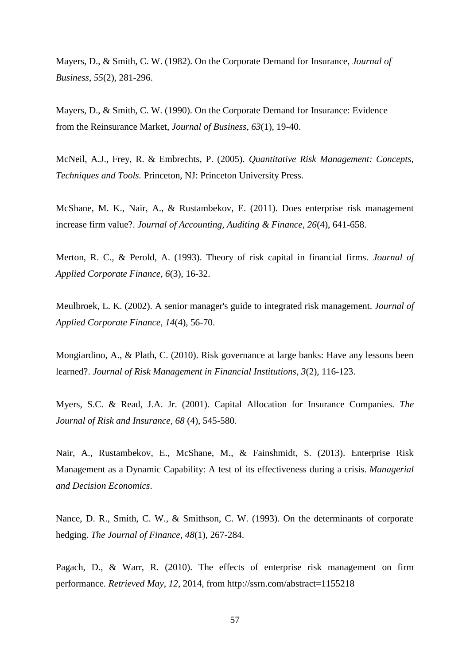Mayers, D., & Smith, C. W. (1982). On the Corporate Demand for Insurance, *Journal of Business*, *55*(2), 281-296.

Mayers, D., & Smith, C. W. (1990). On the Corporate Demand for Insurance: Evidence from the Reinsurance Market, *Journal of Business*, *63*(1), 19-40.

McNeil, A.J., Frey, R. & Embrechts, P. (2005). *Quantitative Risk Management: Concepts, Techniques and Tools.* Princeton, NJ: Princeton University Press.

McShane, M. K., Nair, A., & Rustambekov, E. (2011). Does enterprise risk management increase firm value?. *Journal of Accounting, Auditing & Finance*, *26*(4), 641-658.

Merton, R. C., & Perold, A. (1993). Theory of risk capital in financial firms. *Journal of Applied Corporate Finance*, *6*(3), 16-32.

Meulbroek, L. K. (2002). A senior manager's guide to integrated risk management. *Journal of Applied Corporate Finance*, *14*(4), 56-70.

Mongiardino, A., & Plath, C. (2010). Risk governance at large banks: Have any lessons been learned?. *Journal of Risk Management in Financial Institutions*, *3*(2), 116-123.

Myers, S.C. & Read, J.A. Jr. (2001). Capital Allocation for Insurance Companies. *The Journal of Risk and Insurance, 68* (4), 545-580.

Nair, A., Rustambekov, E., McShane, M., & Fainshmidt, S. (2013). Enterprise Risk Management as a Dynamic Capability: A test of its effectiveness during a crisis. *Managerial and Decision Economics*.

Nance, D. R., Smith, C. W., & Smithson, C. W. (1993). On the determinants of corporate hedging. *The Journal of Finance*, *48*(1), 267-284.

Pagach, D., & Warr, R. (2010). The effects of enterprise risk management on firm performance. *Retrieved May*, *12*, 2014, from http://ssrn.com/abstract=1155218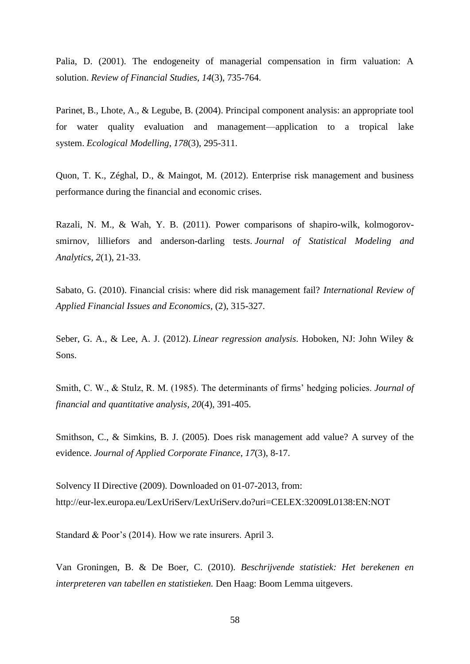Palia, D. (2001). The endogeneity of managerial compensation in firm valuation: A solution. *Review of Financial Studies*, *14*(3), 735-764.

Parinet, B., Lhote, A., & Legube, B. (2004). Principal component analysis: an appropriate tool for water quality evaluation and management—application to a tropical lake system. *Ecological Modelling*, *178*(3), 295-311.

Quon, T. K., Zéghal, D., & Maingot, M. (2012). Enterprise risk management and business performance during the financial and economic crises.

Razali, N. M., & Wah, Y. B. (2011). Power comparisons of shapiro-wilk, kolmogorovsmirnov, lilliefors and anderson-darling tests. *Journal of Statistical Modeling and Analytics*, *2*(1), 21-33.

Sabato, G. (2010). Financial crisis: where did risk management fail? *International Review of Applied Financial Issues and Economics*, (2), 315-327.

Seber, G. A., & Lee, A. J. (2012). *Linear regression analysis*. Hoboken, NJ: John Wiley & Sons.

Smith, C. W., & Stulz, R. M. (1985). The determinants of firms' hedging policies. *Journal of financial and quantitative analysis*, *20*(4), 391-405.

Smithson, C., & Simkins, B. J. (2005). Does risk management add value? A survey of the evidence. *Journal of Applied Corporate Finance*, *17*(3), 8-17.

Solvency II Directive (2009). Downloaded on 01-07-2013, from: http://eur-lex.europa.eu/LexUriServ/LexUriServ.do?uri=CELEX:32009L0138:EN:NOT

Standard & Poor's (2014). How we rate insurers. April 3.

Van Groningen, B. & De Boer, C. (2010). *Beschrijvende statistiek: Het berekenen en interpreteren van tabellen en statistieken.* Den Haag: Boom Lemma uitgevers.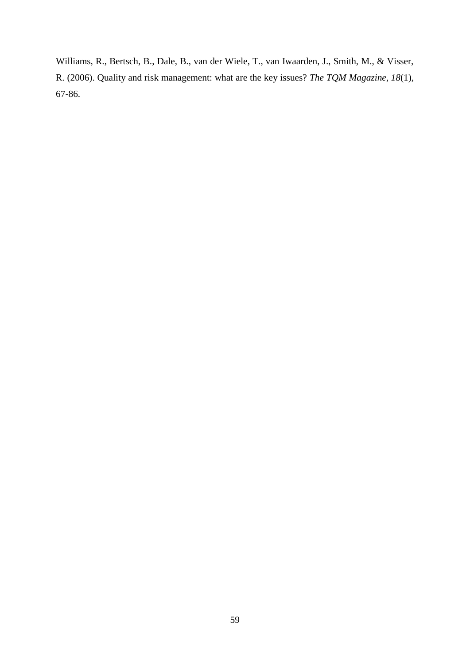Williams, R., Bertsch, B., Dale, B., van der Wiele, T., van Iwaarden, J., Smith, M., & Visser, R. (2006). Quality and risk management: what are the key issues? *The TQM Magazine*, *18*(1), 67-86.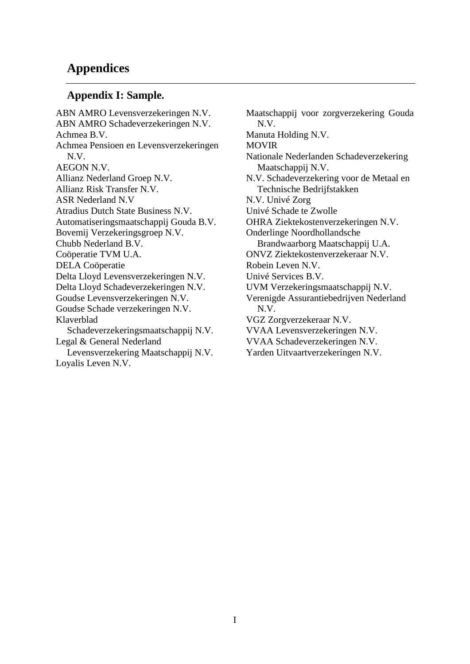# **Appendices**

## **Appendix I: Sample.**

ABN AMRO Levensverzekeringen N.V. ABN AMRO Schadeverzekeringen N.V. Achmea B.V. Achmea Pensioen en Levensverzekeringen N.V. AEGON N.V. Allianz Nederland Groep N.V. Allianz Risk Transfer N.V. ASR Nederland N.V Atradius Dutch State Business N.V. Automatiseringsmaatschappij Gouda B.V. Bovemij Verzekeringsgroep N.V. Chubb Nederland B.V. Coöperatie TVM U.A. DELA Coöperatie Delta Lloyd Levensverzekeringen N.V. Delta Lloyd Schadeverzekeringen N.V. Goudse Levensverzekeringen N.V. Goudse Schade verzekeringen N.V. Klaverblad Schadeverzekeringsmaatschappij N.V. Legal & General Nederland Levensverzekering Maatschappij N.V. Loyalis Leven N.V.

Maatschappij voor zorgverzekering Gouda N.V. Manuta Holding N.V. MOVIR Nationale Nederlanden Schadeverzekering Maatschappij N.V. N.V. Schadeverzekering voor de Metaal en Technische Bedrijfstakken N.V. Univé Zorg Univé Schade te Zwolle OHRA Ziektekostenverzekeringen N.V. Onderlinge Noordhollandsche Brandwaarborg Maatschappij U.A. ONVZ Ziektekostenverzekeraar N.V. Robein Leven N.V. Univé Services B.V. UVM Verzekeringsmaatschappij N.V. Verenigde Assurantiebedrijven Nederland N.V. VGZ Zorgverzekeraar N.V. VVAA Levensverzekeringen N.V. VVAA Schadeverzekeringen N.V. Yarden Uitvaartverzekeringen N.V.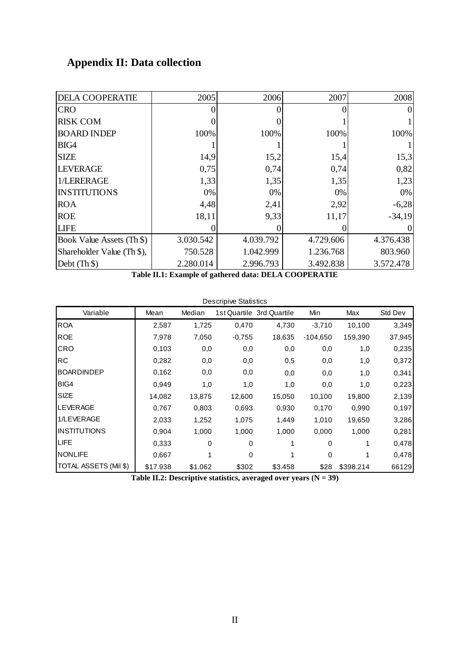# **Appendix II: Data collection**

| <b>DELA COOPERATIE</b>     | 2005      | 2006      | 2007      | 2008      |
|----------------------------|-----------|-----------|-----------|-----------|
| <b>CRO</b>                 |           |           |           |           |
| <b>RISK COM</b>            |           |           |           |           |
| <b>BOARD INDEP</b>         | 100%      | 100%      | 100%      | 100%      |
| BIG4                       |           |           |           |           |
| <b>SIZE</b>                | 14,9      | 15,2      | 15,4      | 15,3      |
| <b>LEVERAGE</b>            | 0,75      | 0,74      | 0,74      | 0,82      |
| 1/LERERAGE                 | 1,33      | 1,35      | 1,35      | 1,23      |
| <b>INSTITUTIONS</b>        | 0%        | $0\%$     | 0%        | 0%        |
| <b>ROA</b>                 | 4,48      | 2,41      | 2,92      | $-6,28$   |
| <b>ROE</b>                 | 18,11     | 9,33      | 11,17     | $-34,19$  |
| <b>LIFE</b>                |           |           |           |           |
| Book Value Assets (Th \$)  | 3.030.542 | 4.039.792 | 4.729.606 | 4.376.438 |
| Shareholder Value (Th \$), | 750.528   | 1.042.999 | 1.236.768 | 803.960   |
| Debt $(Th $)$              | 2.280.014 | 2.996.793 | 3.492.838 | 3.572.478 |

**Table II.1: Example of gathered data: DELA COOPERATIE**

| <b>Descripive Statistics</b> |          |         |          |                           |            |           |         |  |
|------------------------------|----------|---------|----------|---------------------------|------------|-----------|---------|--|
| Variable                     | Mean     | Median  |          | 1st Quartile 3rd Quartile | Min        | Max       | Std Dev |  |
| <b>ROA</b>                   | 2,587    | 1,725   | 0,470    | 4,730                     | $-3,710$   | 10,100    | 3,349   |  |
| <b>ROE</b>                   | 7,978    | 7,050   | $-0,755$ | 18,635                    | $-104,650$ | 159,390   | 37,945  |  |
| <b>CRO</b>                   | 0.103    | 0,0     | 0,0      | 0,0                       | 0,0        | 1,0       | 0,235   |  |
| <b>RC</b>                    | 0,282    | 0,0     | 0,0      | 0,5                       | 0,0        | 1,0       | 0,372   |  |
| <b>BOARDINDEP</b>            | 0.162    | 0,0     | 0,0      | 0,0                       | 0,0        | 1,0       | 0,341   |  |
| BIG4                         | 0,949    | 1,0     | 1,0      | 1,0                       | 0,0        | 1,0       | 0,223   |  |
| <b>SIZE</b>                  | 14,082   | 13,875  | 12,600   | 15,050                    | 10,100     | 19,800    | 2,139   |  |
| <b>LEVERAGE</b>              | 0,767    | 0,803   | 0,693    | 0,930                     | 0,170      | 0,990     | 0,197   |  |
| 1/LEVERAGE                   | 2,033    | 1,252   | 1,075    | 1,449                     | 1,010      | 19,650    | 3,286   |  |
| <b>INSTITUTIONS</b>          | 0,904    | 1,000   | 1,000    | 1,000                     | 0,000      | 1,000     | 0,281   |  |
| <b>LIFE</b>                  | 0.333    | 0       | 0        |                           | 0          |           | 0,478   |  |
| <b>NONLIFE</b>               | 0,667    |         | 0        |                           | 0          |           | 0,478   |  |
| TOTAL ASSETS (Mil \$)        | \$17.938 | \$1.062 | \$302    | \$3.458                   | \$28       | \$398.214 | 66129   |  |

**Table II.2: Descriptive statistics, averaged over years (N = 39)**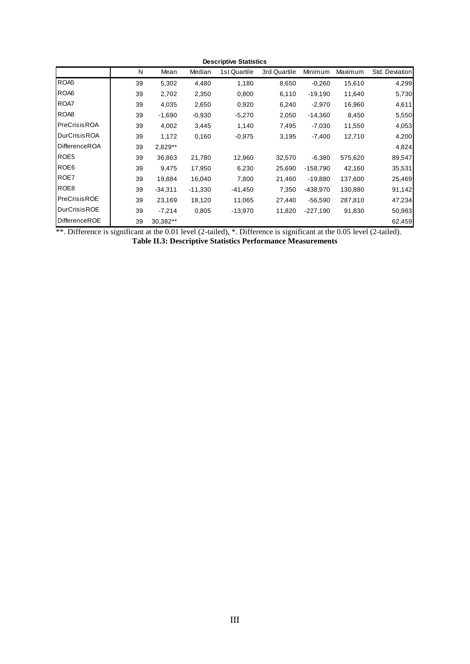| <b>Descriptive Statistics</b> |    |           |           |              |              |            |         |                |
|-------------------------------|----|-----------|-----------|--------------|--------------|------------|---------|----------------|
|                               | N  | Mean      | Median    | 1st Quartile | 3rd Quartile | Minimum    | Maximum | Std. Deviation |
| ROA <sub>5</sub>              | 39 | 5,302     | 4,480     | 1,180        | 8,650        | $-0.260$   | 15,610  | 4,299          |
| ROA6                          | 39 | 2,702     | 2,350     | 0,800        | 6,110        | $-19,190$  | 11,640  | 5,730          |
| ROA7                          | 39 | 4,035     | 2,650     | 0,920        | 6,240        | $-2,970$   | 16,960  | 4,611          |
| ROA <sub>8</sub>              | 39 | $-1,690$  | $-0,930$  | $-5,270$     | 2,050        | $-14,360$  | 8,450   | 5,550          |
| PreCrisisROA                  | 39 | 4,002     | 3,445     | 1,140        | 7,495        | $-7,030$   | 11,550  | 4,053          |
| <b>DurCrisisROA</b>           | 39 | 1,172     | 0,160     | $-0.975$     | 3,195        | $-7,400$   | 12,710  | 4,200          |
| DifferenceROA                 | 39 | 2,829**   |           |              |              |            |         | 4,824          |
| ROE5                          | 39 | 36,863    | 21,780    | 12,960       | 32,570       | $-6,380$   | 575,620 | 89,547         |
| ROE <sub>6</sub>              | 39 | 9,475     | 17,950    | 6,230        | 25,690       | $-158,790$ | 42,160  | 35,531         |
| ROE7                          | 39 | 19,884    | 16,040    | 7,800        | 21,460       | $-19,880$  | 137,600 | 25,469         |
| ROE <sub>8</sub>              | 39 | $-34,311$ | $-11,330$ | $-41,450$    | 7,350        | -438,970   | 130,880 | 91,142         |
| PreCrisisROE                  | 39 | 23,169    | 18,120    | 11,065       | 27,440       | $-56,590$  | 287,810 | 47,234         |
| <b>DurCrisisROE</b>           | 39 | $-7,214$  | 0,805     | $-13,970$    | 11,820       | $-227,190$ | 91,830  | 50,983         |
| DifferenceROE                 | 39 | 30,382**  |           |              |              |            |         | 62,459         |

\*\*. Difference is significant at the 0.01 level (2-tailed), \*. Difference is significant at the 0.05 level (2-tailed).

**Table II.3: Descriptive Statistics Performance Measurements**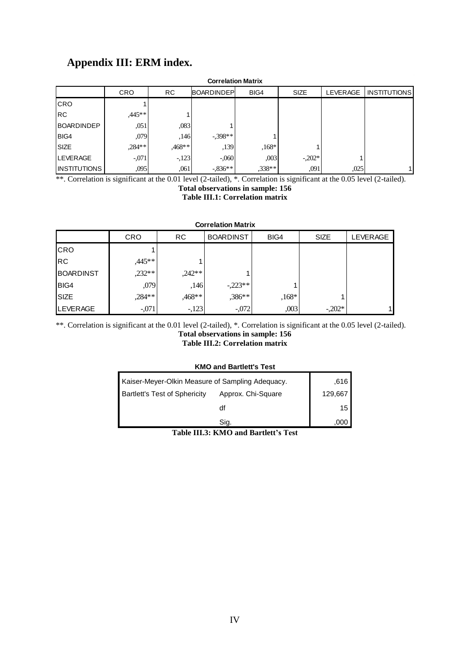# **Appendix III: ERM index.**

| Appendix III: ERM index.  |                                                                                                               |        |            |         |          |      |  |  |  |
|---------------------------|---------------------------------------------------------------------------------------------------------------|--------|------------|---------|----------|------|--|--|--|
| <b>Correlation Matrix</b> |                                                                                                               |        |            |         |          |      |  |  |  |
|                           | <b>RC</b><br><b>CRO</b><br><b>BOARDINDEP</b><br><b>LEVERAGE</b><br><b>INSTITUTIONS</b><br>BIG4<br><b>SIZE</b> |        |            |         |          |      |  |  |  |
| <b>CRO</b>                |                                                                                                               |        |            |         |          |      |  |  |  |
| <b>RC</b>                 | $.445**$                                                                                                      |        |            |         |          |      |  |  |  |
| <b>BOARDINDEP</b>         | ,051                                                                                                          | ,083   |            |         |          |      |  |  |  |
| BIG4                      | ,079                                                                                                          | ,146   | $-398**$   |         |          |      |  |  |  |
| <b>SIZE</b>               | $,284**$                                                                                                      | .468** | ,139       | $,168*$ |          |      |  |  |  |
| <b>LEVERAGE</b>           | $-.071$                                                                                                       | $-123$ | $-.060$    | ,003    | $-.202*$ |      |  |  |  |
| <b>INSTITUTIONS</b>       | ,095                                                                                                          | ,061   | $-0.836**$ | .338**  | ,091     | ,025 |  |  |  |

\*\*. Correlation is significant at the 0.01 level (2-tailed), \*. Correlation is significant at the 0.05 level (2-tailed).

**Total observations in sample: 156**

**Table III.1: Correlation matrix**

|  | <b>Correlation Matrix</b> |  |
|--|---------------------------|--|
|  |                           |  |
|  |                           |  |

| <b>Correlation Matrix</b> |            |           |                  |         |             |                 |  |
|---------------------------|------------|-----------|------------------|---------|-------------|-----------------|--|
|                           | <b>CRO</b> | <b>RC</b> | <b>BOARDINST</b> | BIG4    | <b>SIZE</b> | <b>LEVERAGE</b> |  |
| <b>CRO</b>                |            |           |                  |         |             |                 |  |
| <b>RC</b>                 | ,445**     |           |                  |         |             |                 |  |
| <b>BOARDINST</b>          | $,232**$   | $,242**$  |                  |         |             |                 |  |
| BIG4                      | ,079       | ,146      | $-.223**$        |         |             |                 |  |
| <b>SIZE</b>               | ,284**     | ,468**    | ,386**           | $,168*$ |             |                 |  |
| <b>LEVERAGE</b>           | $-.071$    | $-123$    | $-.072$          | ,003    | $-.202*$    |                 |  |

\*\*. Correlation is significant at the 0.01 level (2-tailed), \*. Correlation is significant at the 0.05 level (2-tailed). **Total observations in sample: 156** 

**Table III.2: Correlation matrix**

#### **KMO and Bartlett's Test**

| Kaiser-Meyer-Olkin Measure of Sampling Adequacy. | .616    |
|--------------------------------------------------|---------|
| <b>Bartlett's Test of Sphericity</b>             | 129,667 |
|                                                  | 15      |
|                                                  |         |

**Table III.3: KMO and Bartlett's Test**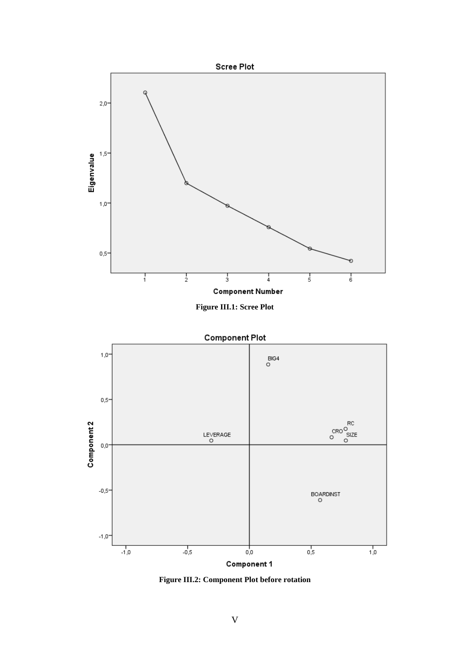

**Figure III.1: Scree Plot**



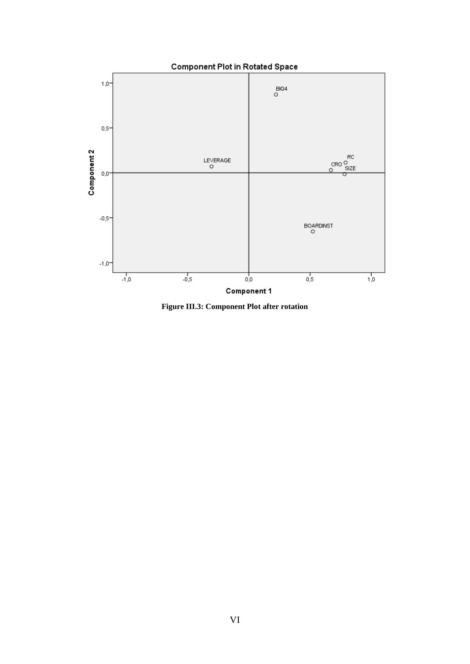

**Figure III.3: Component Plot after rotation**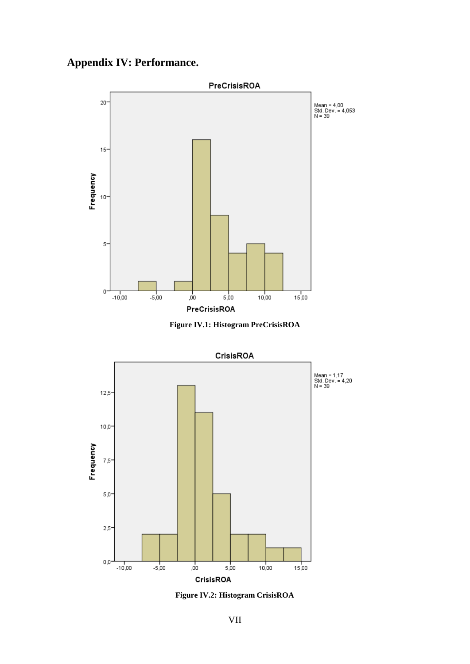## **Appendix IV: Performance.**



**Figure IV.1: Histogram PreCrisisROA**



**Figure IV.2: Histogram CrisisROA**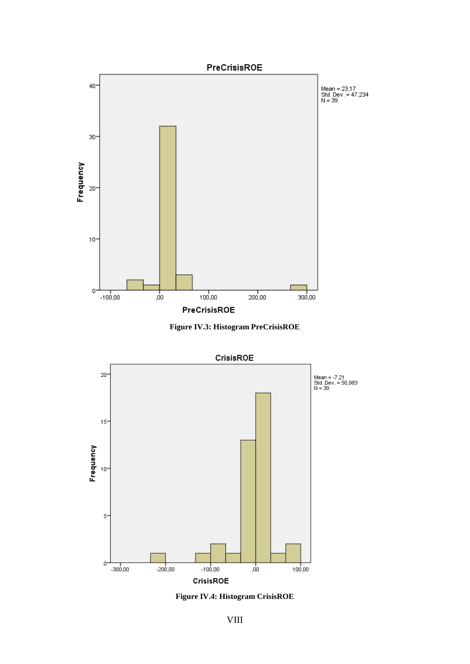





**Figure IV.4: Histogram CrisisROE**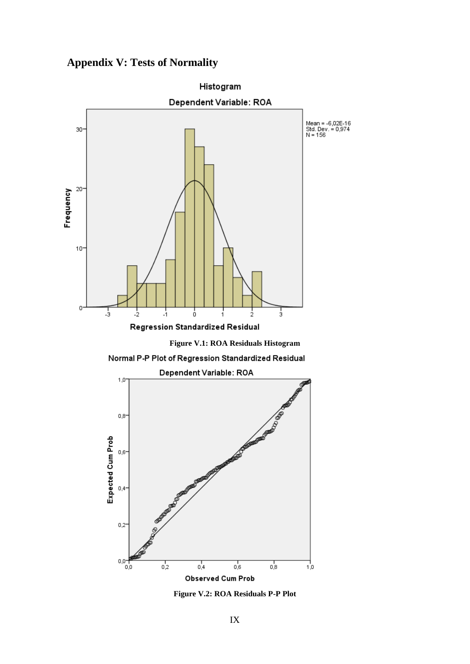## **Appendix V: Tests of Normality**





 $0.4$ 

0,0

o,o

 $\overline{0.2}$ 

**Observed Cum Prob** 

**Figure V.2: ROA Residuals P-P Plot**

 $\frac{1}{0.6}$ 

 $_{0,8}$ 

 $1,0$